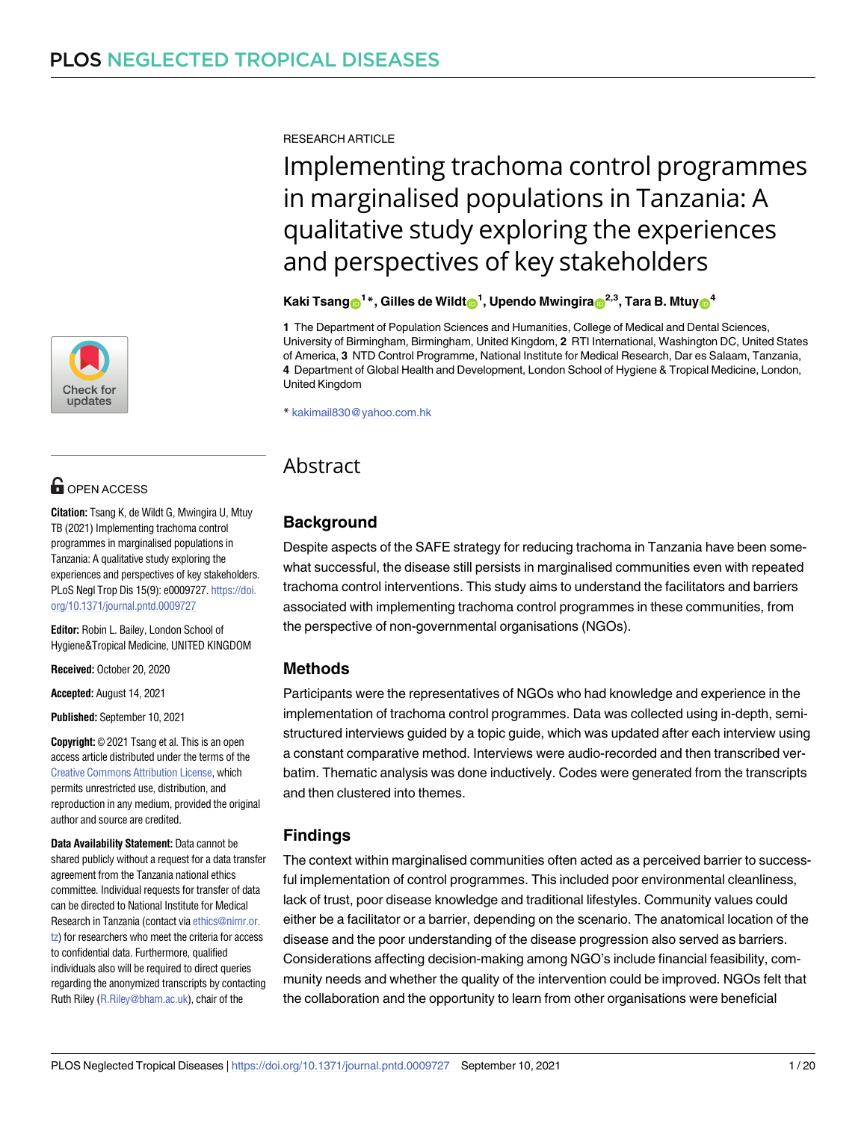

## **OPEN ACCESS**

**Citation:** Tsang K, de Wildt G, Mwingira U, Mtuy TB (2021) Implementing trachoma control programmes in marginalised populations in Tanzania: A qualitative study exploring the experiences and perspectives of key stakeholders. PLoS Negl Trop Dis 15(9): e0009727. [https://doi.](https://doi.org/10.1371/journal.pntd.0009727) [org/10.1371/journal.pntd.0009727](https://doi.org/10.1371/journal.pntd.0009727)

**Editor:** Robin L. Bailey, London School of Hygiene&Tropical Medicine, UNITED KINGDOM

**Received:** October 20, 2020

**Accepted:** August 14, 2021

**Published:** September 10, 2021

**Copyright:** © 2021 Tsang et al. This is an open access article distributed under the terms of the Creative Commons [Attribution](http://creativecommons.org/licenses/by/4.0/) License, which permits unrestricted use, distribution, and reproduction in any medium, provided the original author and source are credited.

**Data Availability Statement:** Data cannot be shared publicly without a request for a data transfer agreement from the Tanzania national ethics committee. Individual requests for transfer of data can be directed to National Institute for Medical Research in Tanzania (contact via [ethics@nimr.or.](mailto:ethics@nimr.or.tz) [tz\)](mailto:ethics@nimr.or.tz) for researchers who meet the criteria for access to confidential data. Furthermore, qualified individuals also will be required to direct queries regarding the anonymized transcripts by contacting Ruth Riley [\(R.Riley@bham.ac.uk\)](mailto:R.Riley@bham.ac.uk), chair of the

RESEARCH ARTICLE

# Implementing trachoma control programmes in marginalised populations in Tanzania: A qualitative study exploring the experiences and perspectives of key stakeholders

 $\mathbf{K}$ aki <code>Tsang $\mathbf{C}^{1*}$ , Gilles de Wildt $\mathbf{C}^{1}$ , Upendo Mwingira $\mathbf{C}^{2,3}$ , Tara B. Mtuy $\mathbf{C}^{4}$ </code>

**1** The Department of Population Sciences and Humanities, College of Medical and Dental Sciences, University of Birmingham, Birmingham, United Kingdom, **2** RTI International, Washington DC, United States of America, **3** NTD Control Programme, National Institute for Medical Research, Dar es Salaam, Tanzania, **4** Department of Global Health and Development, London School of Hygiene & Tropical Medicine, London, United Kingdom

\* kakimail830@yahoo.com.hk

## Abstract

## **Background**

Despite aspects of the SAFE strategy for reducing trachoma in Tanzania have been somewhat successful, the disease still persists in marginalised communities even with repeated trachoma control interventions. This study aims to understand the facilitators and barriers associated with implementing trachoma control programmes in these communities, from the perspective of non-governmental organisations (NGOs).

## **Methods**

Participants were the representatives of NGOs who had knowledge and experience in the implementation of trachoma control programmes. Data was collected using in-depth, semistructured interviews guided by a topic guide, which was updated after each interview using a constant comparative method. Interviews were audio-recorded and then transcribed verbatim. Thematic analysis was done inductively. Codes were generated from the transcripts and then clustered into themes.

## **Findings**

The context within marginalised communities often acted as a perceived barrier to successful implementation of control programmes. This included poor environmental cleanliness, lack of trust, poor disease knowledge and traditional lifestyles. Community values could either be a facilitator or a barrier, depending on the scenario. The anatomical location of the disease and the poor understanding of the disease progression also served as barriers. Considerations affecting decision-making among NGO's include financial feasibility, community needs and whether the quality of the intervention could be improved. NGOs felt that the collaboration and the opportunity to learn from other organisations were beneficial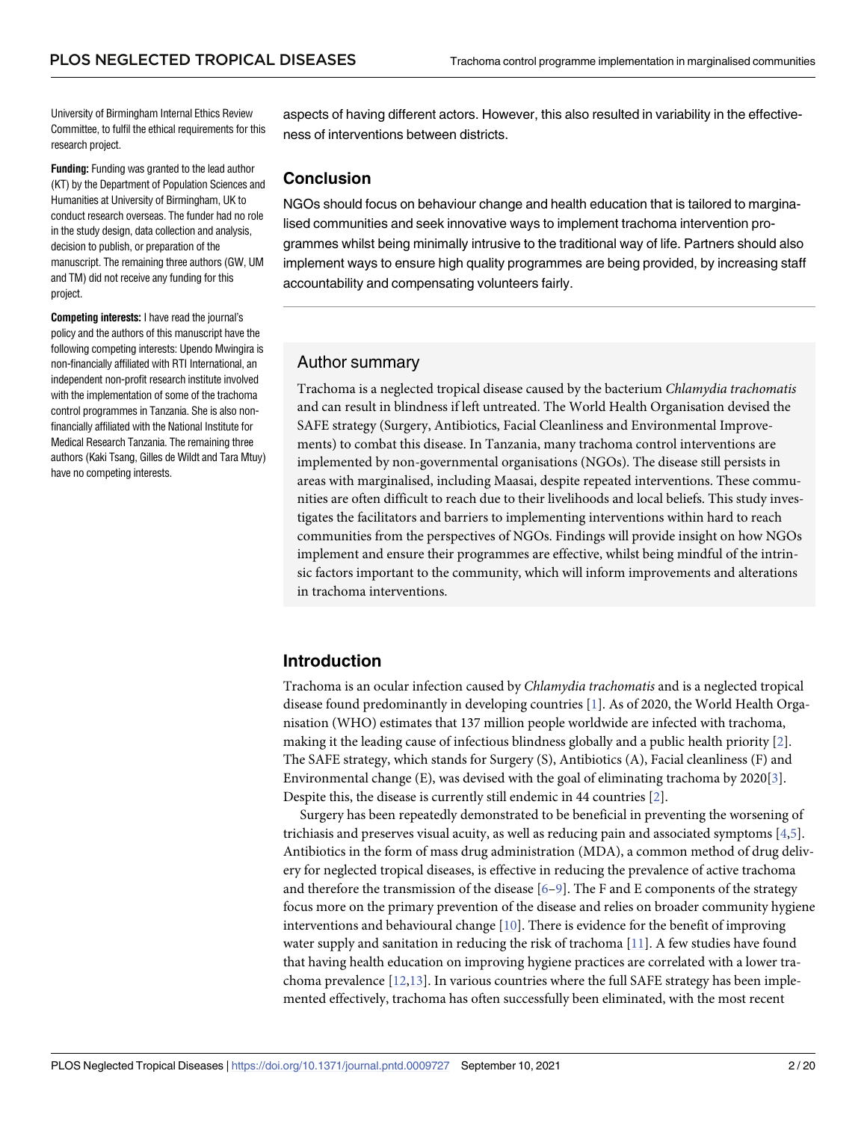<span id="page-1-0"></span>University of Birmingham Internal Ethics Review Committee, to fulfil the ethical requirements for this research project.

**Funding:** Funding was granted to the lead author (KT) by the Department of Population Sciences and Humanities at University of Birmingham, UK to conduct research overseas. The funder had no role in the study design, data collection and analysis, decision to publish, or preparation of the manuscript. The remaining three authors (GW, UM and TM) did not receive any funding for this project.

**Competing interests:** I have read the journal's policy and the authors of this manuscript have the following competing interests: Upendo Mwingira is non-financially affiliated with RTI International, an independent non-profit research institute involved with the implementation of some of the trachoma control programmes in Tanzania. She is also nonfinancially affiliated with the National Institute for Medical Research Tanzania. The remaining three authors (Kaki Tsang, Gilles de Wildt and Tara Mtuy) have no competing interests.

aspects of having different actors. However, this also resulted in variability in the effectiveness of interventions between districts.

## **Conclusion**

NGOs should focus on behaviour change and health education that is tailored to marginalised communities and seek innovative ways to implement trachoma intervention programmes whilst being minimally intrusive to the traditional way of life. Partners should also implement ways to ensure high quality programmes are being provided, by increasing staff accountability and compensating volunteers fairly.

### Author summary

Trachoma is a neglected tropical disease caused by the bacterium *Chlamydia trachomatis* and can result in blindness if left untreated. The World Health Organisation devised the SAFE strategy (Surgery, Antibiotics, Facial Cleanliness and Environmental Improvements) to combat this disease. In Tanzania, many trachoma control interventions are implemented by non-governmental organisations (NGOs). The disease still persists in areas with marginalised, including Maasai, despite repeated interventions. These communities are often difficult to reach due to their livelihoods and local beliefs. This study investigates the facilitators and barriers to implementing interventions within hard to reach communities from the perspectives of NGOs. Findings will provide insight on how NGOs implement and ensure their programmes are effective, whilst being mindful of the intrinsic factors important to the community, which will inform improvements and alterations in trachoma interventions.

## **Introduction**

Trachoma is an ocular infection caused by *Chlamydia trachomatis* and is a neglected tropical disease found predominantly in developing countries [\[1](#page-16-0)]. As of 2020, the World Health Organisation (WHO) estimates that 137 million people worldwide are infected with trachoma, making it the leading cause of infectious blindness globally and a public health priority [[2\]](#page-16-0). The SAFE strategy, which stands for Surgery (S), Antibiotics (A), Facial cleanliness (F) and Environmental change (E), was devised with the goal of eliminating trachoma by 2020[\[3\]](#page-16-0). Despite this, the disease is currently still endemic in 44 countries [[2](#page-16-0)].

Surgery has been repeatedly demonstrated to be beneficial in preventing the worsening of trichiasis and preserves visual acuity, as well as reducing pain and associated symptoms [\[4,5\]](#page-16-0). Antibiotics in the form of mass drug administration (MDA), a common method of drug delivery for neglected tropical diseases, is effective in reducing the prevalence of active trachoma and therefore the transmission of the disease  $[6-9]$  $[6-9]$  $[6-9]$  $[6-9]$  $[6-9]$ . The F and E components of the strategy focus more on the primary prevention of the disease and relies on broader community hygiene interventions and behavioural change [[10](#page-16-0)]. There is evidence for the benefit of improving water supply and sanitation in reducing the risk of trachoma [[11](#page-16-0)]. A few studies have found that having health education on improving hygiene practices are correlated with a lower trachoma prevalence  $[12,13]$  $[12,13]$ . In various countries where the full SAFE strategy has been implemented effectively, trachoma has often successfully been eliminated, with the most recent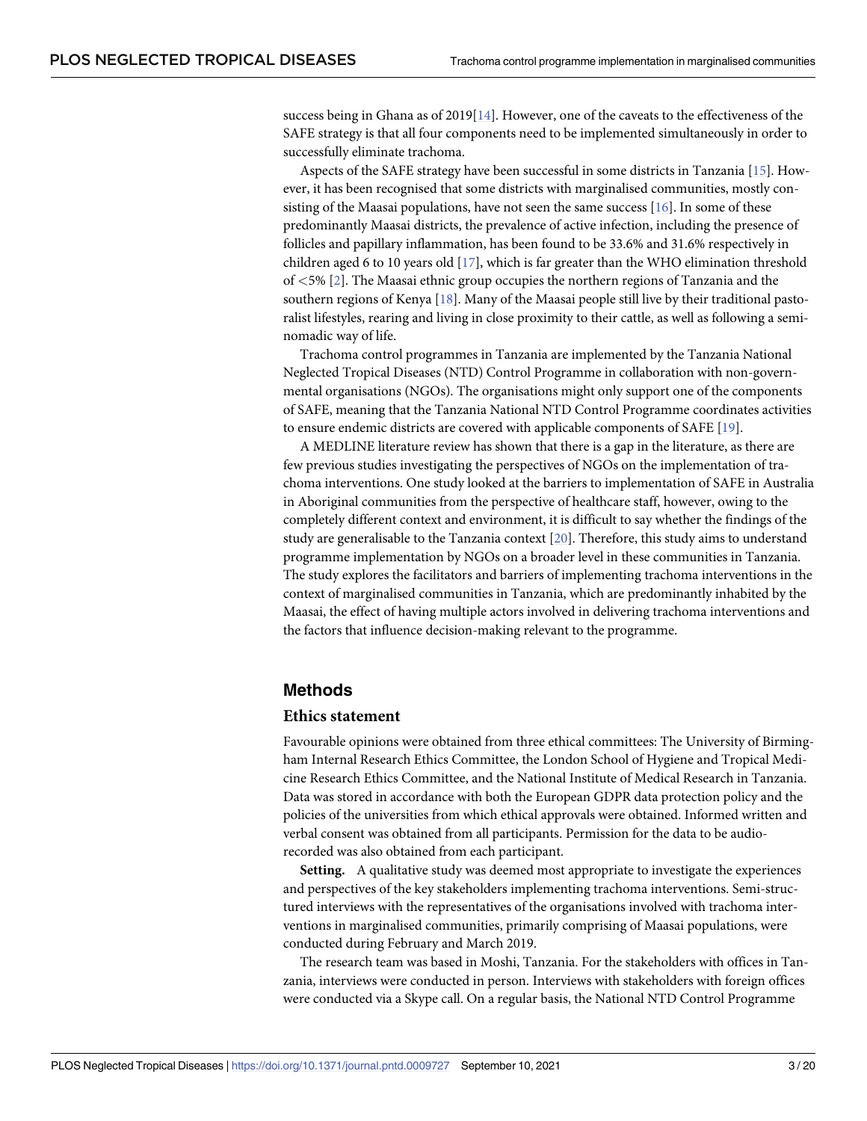<span id="page-2-0"></span>success being in Ghana as of 2019[\[14\]](#page-17-0). However, one of the caveats to the effectiveness of the SAFE strategy is that all four components need to be implemented simultaneously in order to successfully eliminate trachoma.

Aspects of the SAFE strategy have been successful in some districts in Tanzania [[15](#page-17-0)]. However, it has been recognised that some districts with marginalised communities, mostly consisting of the Maasai populations, have not seen the same success [[16](#page-17-0)]. In some of these predominantly Maasai districts, the prevalence of active infection, including the presence of follicles and papillary inflammation, has been found to be 33.6% and 31.6% respectively in children aged 6 to 10 years old [\[17\]](#page-17-0), which is far greater than the WHO elimination threshold of *<*5% [[2\]](#page-16-0). The Maasai ethnic group occupies the northern regions of Tanzania and the southern regions of Kenya [[18](#page-17-0)]. Many of the Maasai people still live by their traditional pastoralist lifestyles, rearing and living in close proximity to their cattle, as well as following a seminomadic way of life.

Trachoma control programmes in Tanzania are implemented by the Tanzania National Neglected Tropical Diseases (NTD) Control Programme in collaboration with non-governmental organisations (NGOs). The organisations might only support one of the components of SAFE, meaning that the Tanzania National NTD Control Programme coordinates activities to ensure endemic districts are covered with applicable components of SAFE [[19](#page-17-0)].

A MEDLINE literature review has shown that there is a gap in the literature, as there are few previous studies investigating the perspectives of NGOs on the implementation of trachoma interventions. One study looked at the barriers to implementation of SAFE in Australia in Aboriginal communities from the perspective of healthcare staff, however, owing to the completely different context and environment, it is difficult to say whether the findings of the study are generalisable to the Tanzania context [\[20\]](#page-17-0). Therefore, this study aims to understand programme implementation by NGOs on a broader level in these communities in Tanzania. The study explores the facilitators and barriers of implementing trachoma interventions in the context of marginalised communities in Tanzania, which are predominantly inhabited by the Maasai, the effect of having multiple actors involved in delivering trachoma interventions and the factors that influence decision-making relevant to the programme.

#### **Methods**

#### **Ethics statement**

Favourable opinions were obtained from three ethical committees: The University of Birmingham Internal Research Ethics Committee, the London School of Hygiene and Tropical Medicine Research Ethics Committee, and the National Institute of Medical Research in Tanzania. Data was stored in accordance with both the European GDPR data protection policy and the policies of the universities from which ethical approvals were obtained. Informed written and verbal consent was obtained from all participants. Permission for the data to be audiorecorded was also obtained from each participant.

**Setting.** A qualitative study was deemed most appropriate to investigate the experiences and perspectives of the key stakeholders implementing trachoma interventions. Semi-structured interviews with the representatives of the organisations involved with trachoma interventions in marginalised communities, primarily comprising of Maasai populations, were conducted during February and March 2019.

The research team was based in Moshi, Tanzania. For the stakeholders with offices in Tanzania, interviews were conducted in person. Interviews with stakeholders with foreign offices were conducted via a Skype call. On a regular basis, the National NTD Control Programme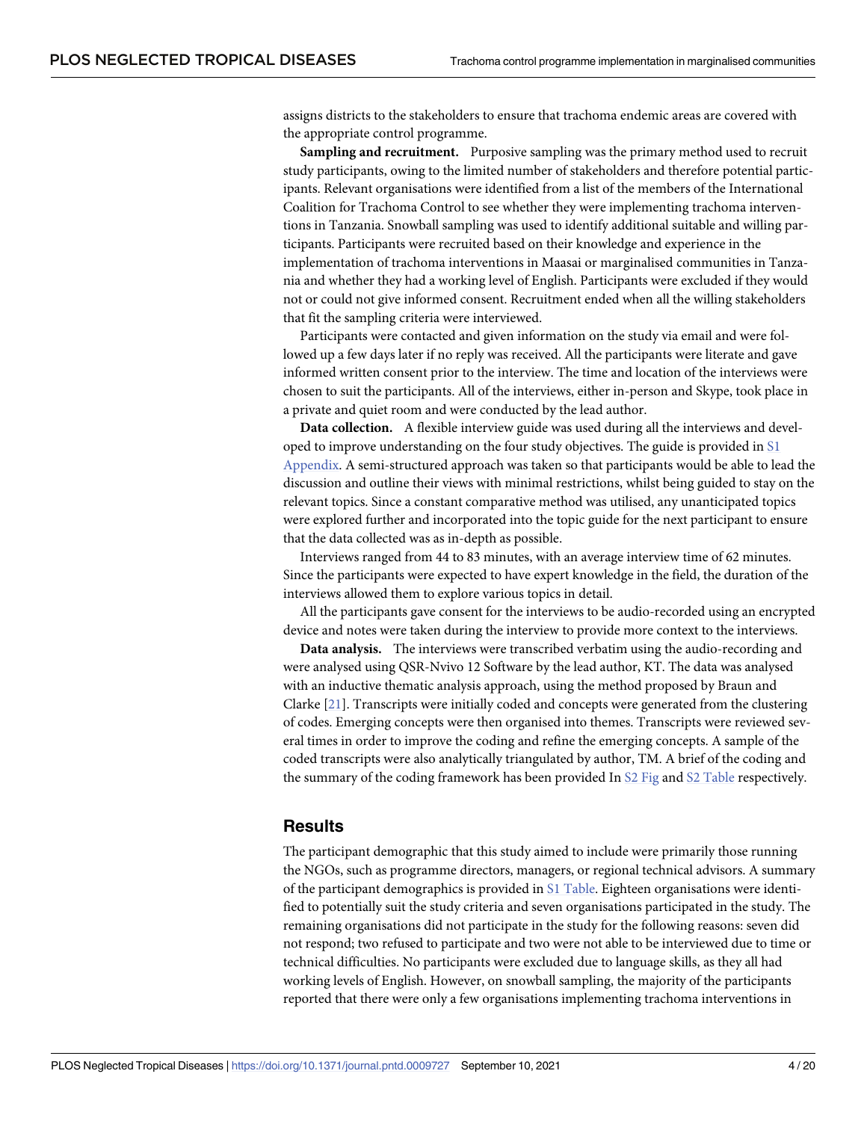<span id="page-3-0"></span>assigns districts to the stakeholders to ensure that trachoma endemic areas are covered with the appropriate control programme.

**Sampling and recruitment.** Purposive sampling was the primary method used to recruit study participants, owing to the limited number of stakeholders and therefore potential participants. Relevant organisations were identified from a list of the members of the International Coalition for Trachoma Control to see whether they were implementing trachoma interventions in Tanzania. Snowball sampling was used to identify additional suitable and willing participants. Participants were recruited based on their knowledge and experience in the implementation of trachoma interventions in Maasai or marginalised communities in Tanzania and whether they had a working level of English. Participants were excluded if they would not or could not give informed consent. Recruitment ended when all the willing stakeholders that fit the sampling criteria were interviewed.

Participants were contacted and given information on the study via email and were followed up a few days later if no reply was received. All the participants were literate and gave informed written consent prior to the interview. The time and location of the interviews were chosen to suit the participants. All of the interviews, either in-person and Skype, took place in a private and quiet room and were conducted by the lead author.

**Data collection.** A flexible interview guide was used during all the interviews and developed to improve understanding on the four study objectives. The guide is provided in [S1](#page-15-0) [Appendix.](#page-15-0) A semi-structured approach was taken so that participants would be able to lead the discussion and outline their views with minimal restrictions, whilst being guided to stay on the relevant topics. Since a constant comparative method was utilised, any unanticipated topics were explored further and incorporated into the topic guide for the next participant to ensure that the data collected was as in-depth as possible.

Interviews ranged from 44 to 83 minutes, with an average interview time of 62 minutes. Since the participants were expected to have expert knowledge in the field, the duration of the interviews allowed them to explore various topics in detail.

All the participants gave consent for the interviews to be audio-recorded using an encrypted device and notes were taken during the interview to provide more context to the interviews.

**Data analysis.** The interviews were transcribed verbatim using the audio-recording and were analysed using QSR-Nvivo 12 Software by the lead author, KT. The data was analysed with an inductive thematic analysis approach, using the method proposed by Braun and Clarke [[21](#page-17-0)]. Transcripts were initially coded and concepts were generated from the clustering of codes. Emerging concepts were then organised into themes. Transcripts were reviewed several times in order to improve the coding and refine the emerging concepts. A sample of the coded transcripts were also analytically triangulated by author, TM. A brief of the coding and the summary of the coding framework has been provided In S2 [Fig](#page-15-0) and S2 [Table](#page-15-0) respectively.

#### **Results**

The participant demographic that this study aimed to include were primarily those running the NGOs, such as programme directors, managers, or regional technical advisors. A summary of the participant demographics is provided in S1 [Table](#page-15-0). Eighteen organisations were identified to potentially suit the study criteria and seven organisations participated in the study. The remaining organisations did not participate in the study for the following reasons: seven did not respond; two refused to participate and two were not able to be interviewed due to time or technical difficulties. No participants were excluded due to language skills, as they all had working levels of English. However, on snowball sampling, the majority of the participants reported that there were only a few organisations implementing trachoma interventions in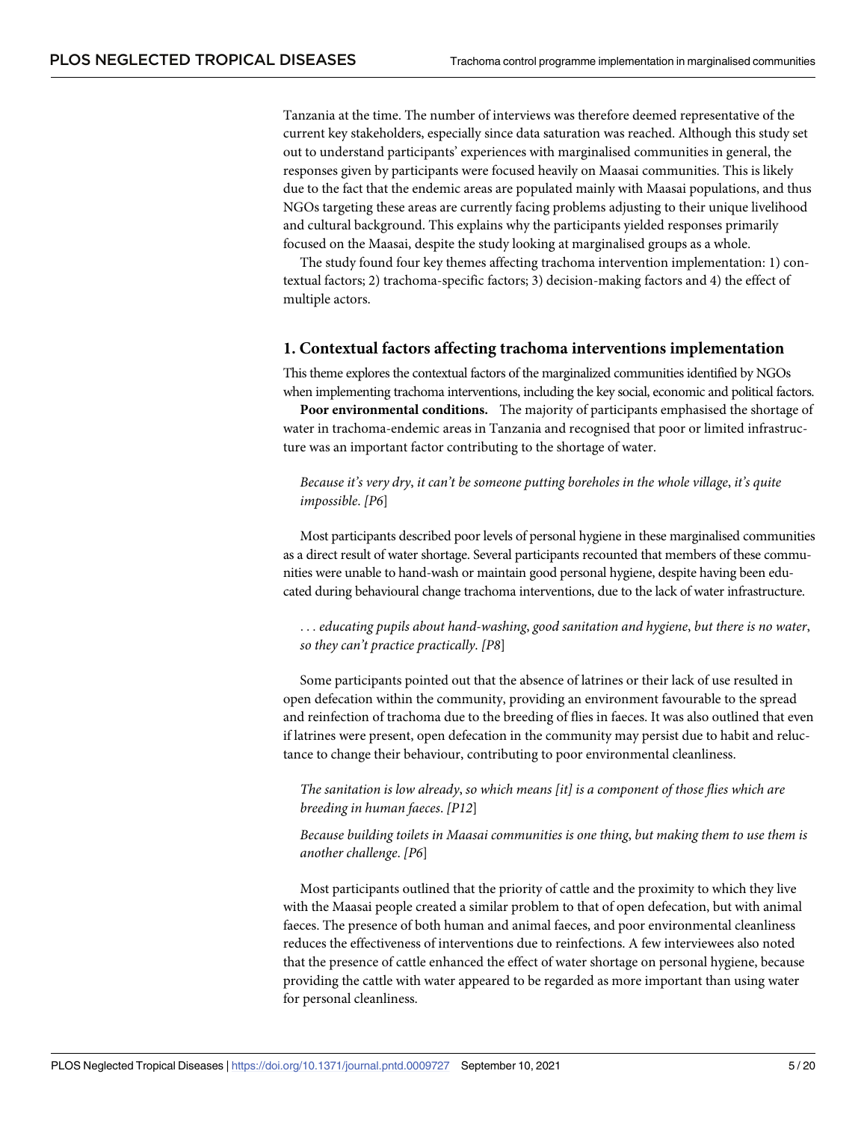Tanzania at the time. The number of interviews was therefore deemed representative of the current key stakeholders, especially since data saturation was reached. Although this study set out to understand participants' experiences with marginalised communities in general, the responses given by participants were focused heavily on Maasai communities. This is likely due to the fact that the endemic areas are populated mainly with Maasai populations, and thus NGOs targeting these areas are currently facing problems adjusting to their unique livelihood and cultural background. This explains why the participants yielded responses primarily focused on the Maasai, despite the study looking at marginalised groups as a whole.

The study found four key themes affecting trachoma intervention implementation: 1) contextual factors; 2) trachoma-specific factors; 3) decision-making factors and 4) the effect of multiple actors.

#### **1. Contextual factors affecting trachoma interventions implementation**

This theme explores the contextual factors of the marginalized communities identified by NGOs when implementing trachoma interventions, including the key social, economic and political factors.

**Poor environmental conditions.** The majority of participants emphasised the shortage of water in trachoma-endemic areas in Tanzania and recognised that poor or limited infrastructure was an important factor contributing to the shortage of water.

*Because it's very dry*, *it can't be someone putting boreholes in the whole village*, *it's quite impossible*. *[P6*]

Most participants described poor levels of personal hygiene in these marginalised communities as a direct result of water shortage. Several participants recounted that members of these communities were unable to hand-wash or maintain good personal hygiene, despite having been educated during behavioural change trachoma interventions, due to the lack of water infrastructure.

. . . *educating pupils about hand-washing*, *good sanitation and hygiene*, *but there is no water*, *so they can't practice practically*. *[P8*]

Some participants pointed out that the absence of latrines or their lack of use resulted in open defecation within the community, providing an environment favourable to the spread and reinfection of trachoma due to the breeding of flies in faeces. It was also outlined that even if latrines were present, open defecation in the community may persist due to habit and reluctance to change their behaviour, contributing to poor environmental cleanliness.

*The sanitation is low already*, *so which means [it] is a component of those flies which are breeding in human faeces*. *[P12*]

*Because building toilets in Maasai communities is one thing*, *but making them to use them is another challenge*. *[P6*]

Most participants outlined that the priority of cattle and the proximity to which they live with the Maasai people created a similar problem to that of open defecation, but with animal faeces. The presence of both human and animal faeces, and poor environmental cleanliness reduces the effectiveness of interventions due to reinfections. A few interviewees also noted that the presence of cattle enhanced the effect of water shortage on personal hygiene, because providing the cattle with water appeared to be regarded as more important than using water for personal cleanliness.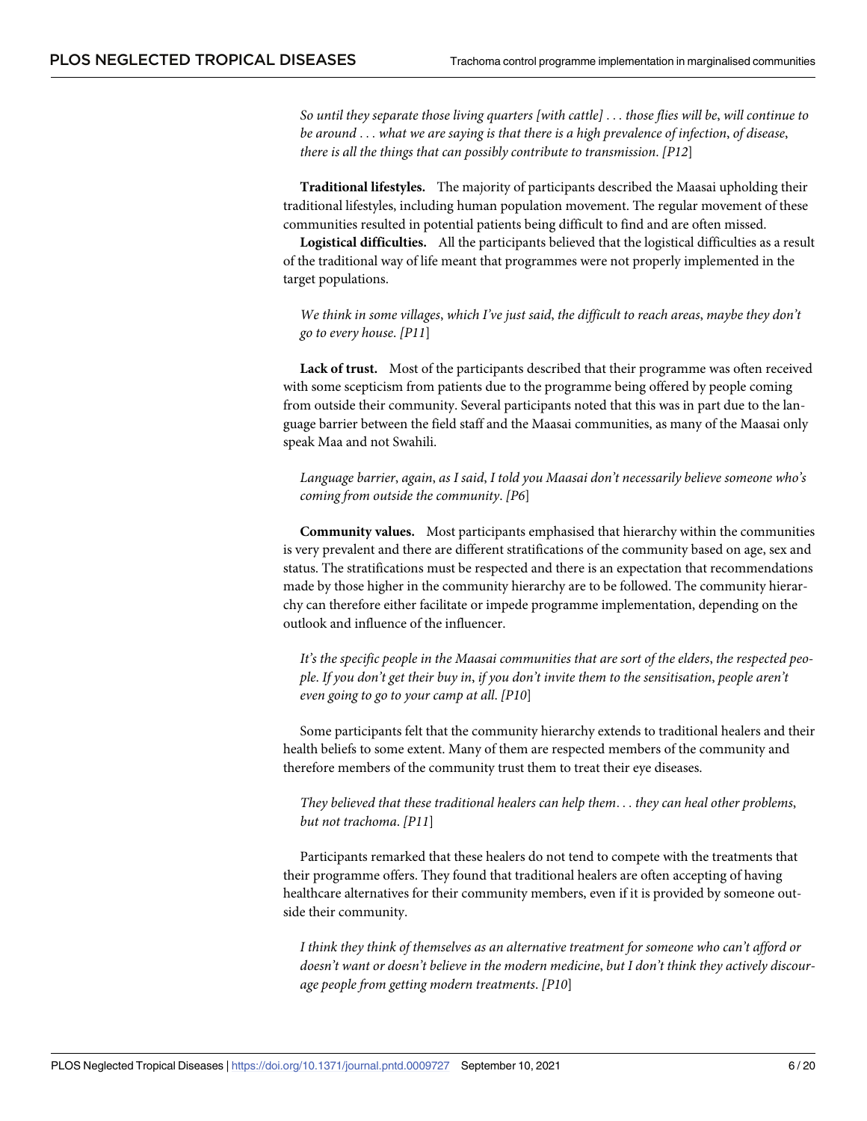*So until they separate those living quarters [with cattle]* . . . *those flies will be*, *will continue to be around* . . . *what we are saying is that there is a high prevalence of infection*, *of disease*, *there is all the things that can possibly contribute to transmission*. *[P12*]

**Traditional lifestyles.** The majority of participants described the Maasai upholding their traditional lifestyles, including human population movement. The regular movement of these communities resulted in potential patients being difficult to find and are often missed.

**Logistical difficulties.** All the participants believed that the logistical difficulties as a result of the traditional way of life meant that programmes were not properly implemented in the target populations.

*We think in some villages*, *which I've just said*, *the difficult to reach areas*, *maybe they don't go to every house*. *[P11*]

**Lack of trust.** Most of the participants described that their programme was often received with some scepticism from patients due to the programme being offered by people coming from outside their community. Several participants noted that this was in part due to the language barrier between the field staff and the Maasai communities, as many of the Maasai only speak Maa and not Swahili.

*Language barrier*, *again*, *as I said*, *I told you Maasai don't necessarily believe someone who's coming from outside the community*. *[P6*]

**Community values.** Most participants emphasised that hierarchy within the communities is very prevalent and there are different stratifications of the community based on age, sex and status. The stratifications must be respected and there is an expectation that recommendations made by those higher in the community hierarchy are to be followed. The community hierarchy can therefore either facilitate or impede programme implementation, depending on the outlook and influence of the influencer.

*It's the specific people in the Maasai communities that are sort of the elders*, *the respected people*. *If you don't get their buy in*, *if you don't invite them to the sensitisation*, *people aren't even going to go to your camp at all*. *[P10*]

Some participants felt that the community hierarchy extends to traditional healers and their health beliefs to some extent. Many of them are respected members of the community and therefore members of the community trust them to treat their eye diseases.

*They believed that these traditional healers can help them*. . . *they can heal other problems*, *but not trachoma*. *[P11*]

Participants remarked that these healers do not tend to compete with the treatments that their programme offers. They found that traditional healers are often accepting of having healthcare alternatives for their community members, even if it is provided by someone outside their community.

*I think they think of themselves as an alternative treatment for someone who can't afford or doesn't want or doesn't believe in the modern medicine*, *but I don't think they actively discourage people from getting modern treatments*. *[P10*]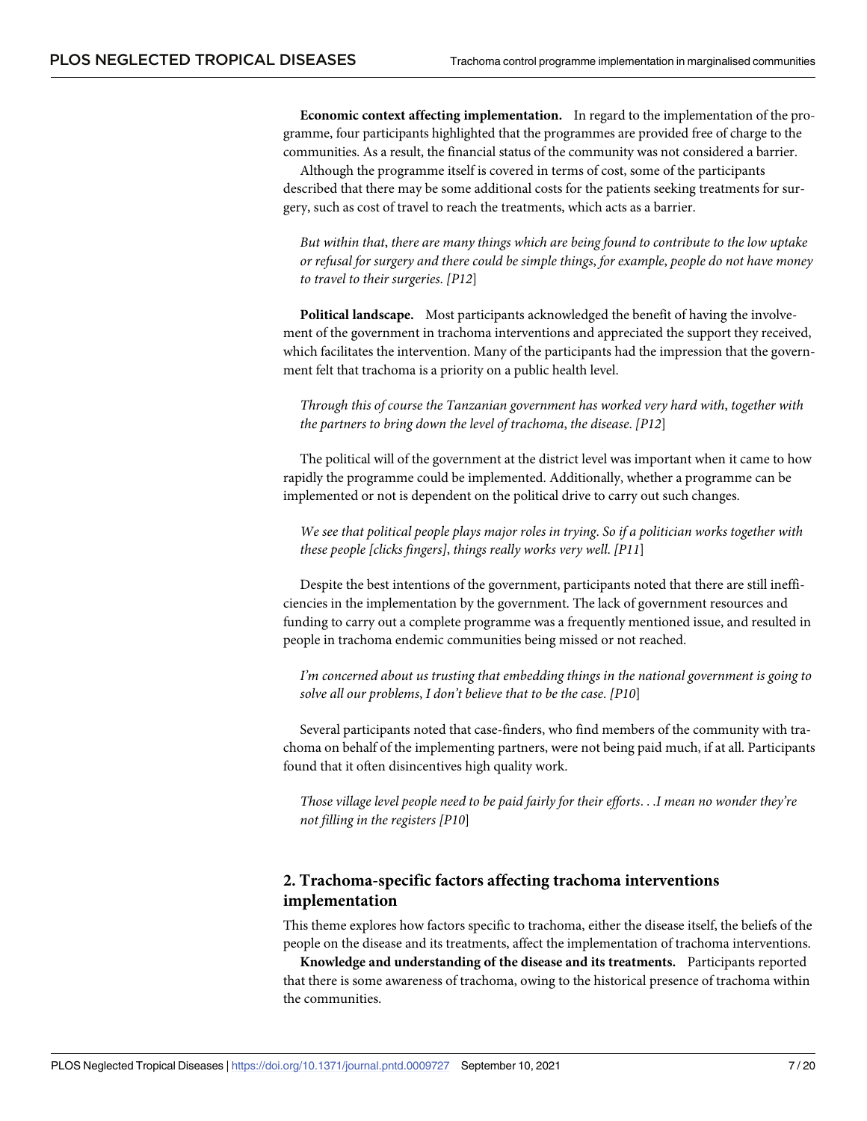**Economic context affecting implementation.** In regard to the implementation of the programme, four participants highlighted that the programmes are provided free of charge to the communities. As a result, the financial status of the community was not considered a barrier.

Although the programme itself is covered in terms of cost, some of the participants described that there may be some additional costs for the patients seeking treatments for surgery, such as cost of travel to reach the treatments, which acts as a barrier.

*But within that*, *there are many things which are being found to contribute to the low uptake or refusal for surgery and there could be simple things*, *for example*, *people do not have money to travel to their surgeries*. *[P12*]

**Political landscape.** Most participants acknowledged the benefit of having the involvement of the government in trachoma interventions and appreciated the support they received, which facilitates the intervention. Many of the participants had the impression that the government felt that trachoma is a priority on a public health level.

*Through this of course the Tanzanian government has worked very hard with*, *together with the partners to bring down the level of trachoma*, *the disease*. *[P12*]

The political will of the government at the district level was important when it came to how rapidly the programme could be implemented. Additionally, whether a programme can be implemented or not is dependent on the political drive to carry out such changes.

*We see that political people plays major roles in trying*. *So if a politician works together with these people [clicks fingers]*, *things really works very well*. *[P11*]

Despite the best intentions of the government, participants noted that there are still inefficiencies in the implementation by the government. The lack of government resources and funding to carry out a complete programme was a frequently mentioned issue, and resulted in people in trachoma endemic communities being missed or not reached.

*I'm concerned about us trusting that embedding things in the national government is going to solve all our problems*, *I don't believe that to be the case*. *[P10*]

Several participants noted that case-finders, who find members of the community with trachoma on behalf of the implementing partners, were not being paid much, if at all. Participants found that it often disincentives high quality work.

*Those village level people need to be paid fairly for their efforts*. . .*I mean no wonder they're not filling in the registers [P10*]

### **2. Trachoma-specific factors affecting trachoma interventions implementation**

This theme explores how factors specific to trachoma, either the disease itself, the beliefs of the people on the disease and its treatments, affect the implementation of trachoma interventions.

**Knowledge and understanding of the disease and its treatments.** Participants reported that there is some awareness of trachoma, owing to the historical presence of trachoma within the communities.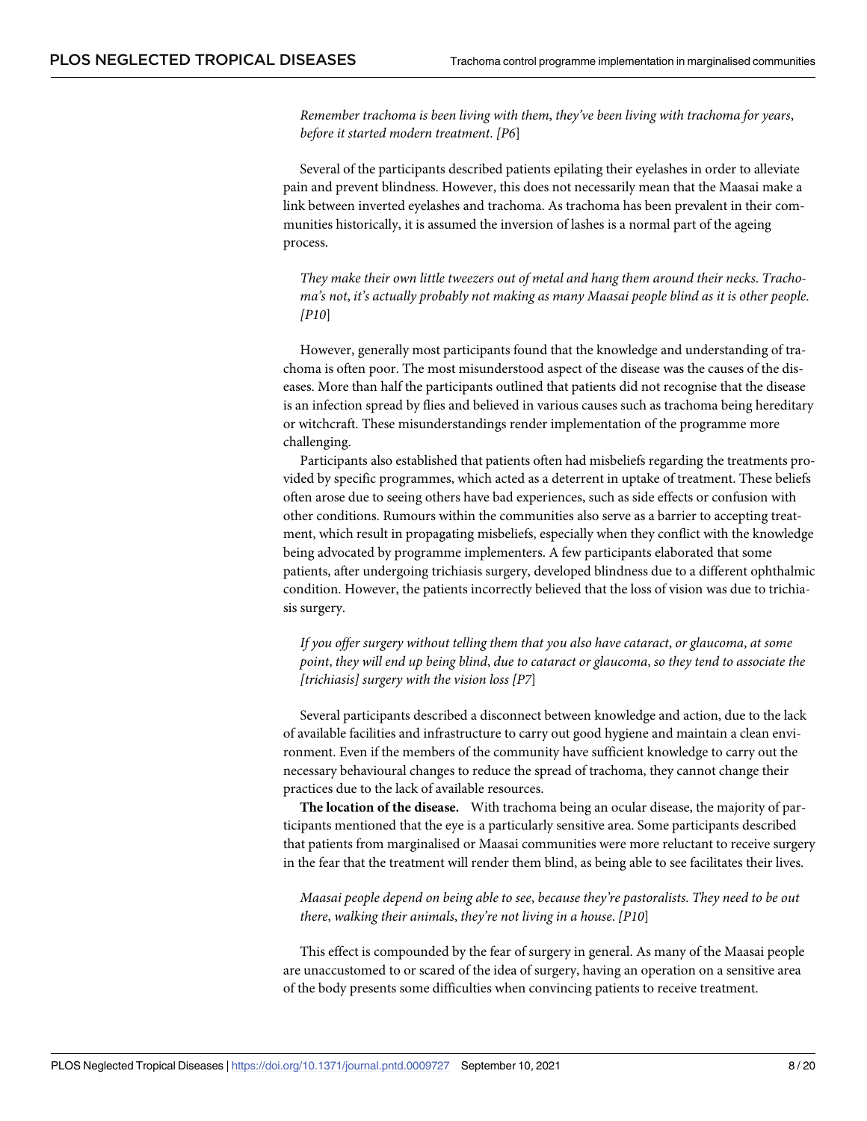*Remember trachoma is been living with them*, *they've been living with trachoma for years*, *before it started modern treatment*. *[P6*]

Several of the participants described patients epilating their eyelashes in order to alleviate pain and prevent blindness. However, this does not necessarily mean that the Maasai make a link between inverted eyelashes and trachoma. As trachoma has been prevalent in their communities historically, it is assumed the inversion of lashes is a normal part of the ageing process.

*They make their own little tweezers out of metal and hang them around their necks*. *Trachoma's not*, *it's actually probably not making as many Maasai people blind as it is other people*. *[P10*]

However, generally most participants found that the knowledge and understanding of trachoma is often poor. The most misunderstood aspect of the disease was the causes of the diseases. More than half the participants outlined that patients did not recognise that the disease is an infection spread by flies and believed in various causes such as trachoma being hereditary or witchcraft. These misunderstandings render implementation of the programme more challenging.

Participants also established that patients often had misbeliefs regarding the treatments provided by specific programmes, which acted as a deterrent in uptake of treatment. These beliefs often arose due to seeing others have bad experiences, such as side effects or confusion with other conditions. Rumours within the communities also serve as a barrier to accepting treatment, which result in propagating misbeliefs, especially when they conflict with the knowledge being advocated by programme implementers. A few participants elaborated that some patients, after undergoing trichiasis surgery, developed blindness due to a different ophthalmic condition. However, the patients incorrectly believed that the loss of vision was due to trichiasis surgery.

*If you offer surgery without telling them that you also have cataract*, *or glaucoma*, *at some point*, *they will end up being blind*, *due to cataract or glaucoma*, *so they tend to associate the [trichiasis] surgery with the vision loss [P7*]

Several participants described a disconnect between knowledge and action, due to the lack of available facilities and infrastructure to carry out good hygiene and maintain a clean environment. Even if the members of the community have sufficient knowledge to carry out the necessary behavioural changes to reduce the spread of trachoma, they cannot change their practices due to the lack of available resources.

**The location of the disease.** With trachoma being an ocular disease, the majority of participants mentioned that the eye is a particularly sensitive area. Some participants described that patients from marginalised or Maasai communities were more reluctant to receive surgery in the fear that the treatment will render them blind, as being able to see facilitates their lives.

*Maasai people depend on being able to see*, *because they're pastoralists*. *They need to be out there*, *walking their animals*, *they're not living in a house*. *[P10*]

This effect is compounded by the fear of surgery in general. As many of the Maasai people are unaccustomed to or scared of the idea of surgery, having an operation on a sensitive area of the body presents some difficulties when convincing patients to receive treatment.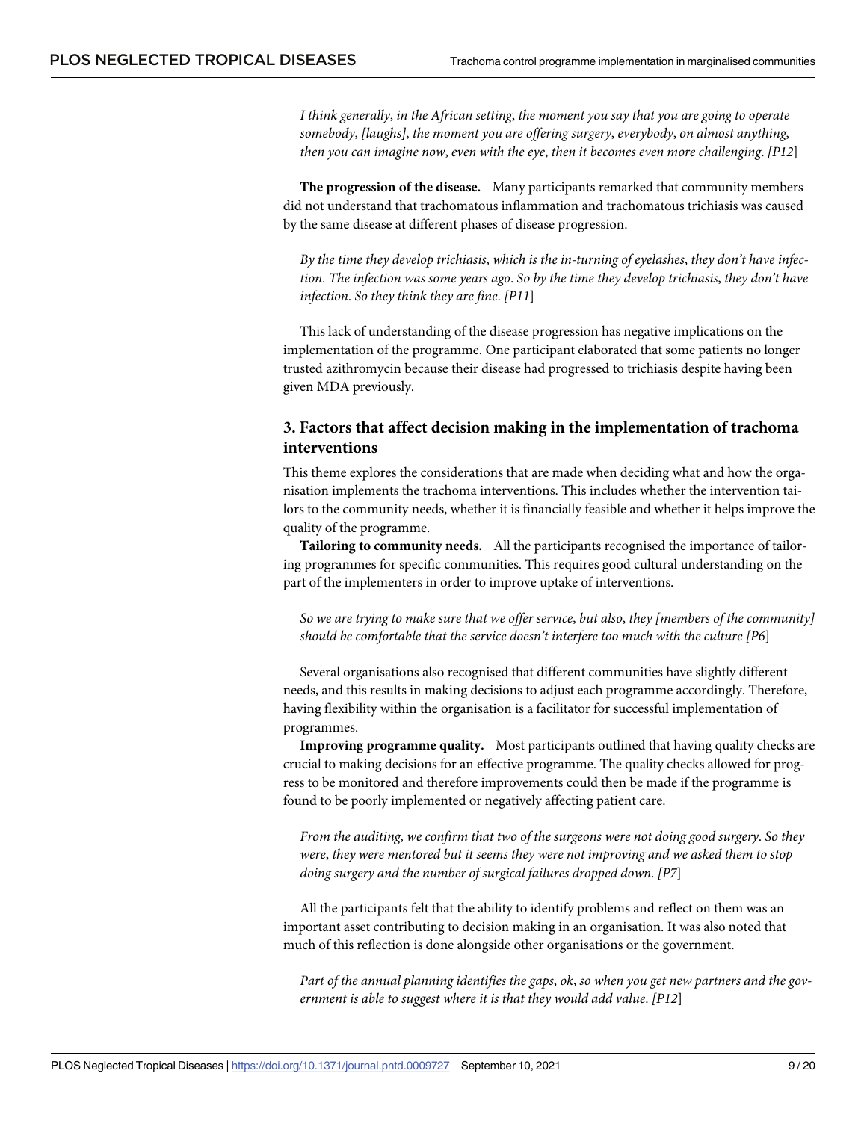*I think generally*, *in the African setting*, *the moment you say that you are going to operate somebody*, *[laughs]*, *the moment you are offering surgery*, *everybody*, *on almost anything*, *then you can imagine now*, *even with the eye*, *then it becomes even more challenging*. *[P12*]

**The progression of the disease.** Many participants remarked that community members did not understand that trachomatous inflammation and trachomatous trichiasis was caused by the same disease at different phases of disease progression.

*By the time they develop trichiasis*, *which is the in-turning of eyelashes*, *they don't have infection*. *The infection was some years ago*. *So by the time they develop trichiasis*, *they don't have infection*. *So they think they are fine*. *[P11*]

This lack of understanding of the disease progression has negative implications on the implementation of the programme. One participant elaborated that some patients no longer trusted azithromycin because their disease had progressed to trichiasis despite having been given MDA previously.

## **3. Factors that affect decision making in the implementation of trachoma interventions**

This theme explores the considerations that are made when deciding what and how the organisation implements the trachoma interventions. This includes whether the intervention tailors to the community needs, whether it is financially feasible and whether it helps improve the quality of the programme.

**Tailoring to community needs.** All the participants recognised the importance of tailoring programmes for specific communities. This requires good cultural understanding on the part of the implementers in order to improve uptake of interventions.

*So we are trying to make sure that we offer service*, *but also*, *they [members of the community] should be comfortable that the service doesn't interfere too much with the culture [P6*]

Several organisations also recognised that different communities have slightly different needs, and this results in making decisions to adjust each programme accordingly. Therefore, having flexibility within the organisation is a facilitator for successful implementation of programmes.

**Improving programme quality.** Most participants outlined that having quality checks are crucial to making decisions for an effective programme. The quality checks allowed for progress to be monitored and therefore improvements could then be made if the programme is found to be poorly implemented or negatively affecting patient care.

*From the auditing*, *we confirm that two of the surgeons were not doing good surgery*. *So they were*, *they were mentored but it seems they were not improving and we asked them to stop doing surgery and the number of surgical failures dropped down*. *[P7*]

All the participants felt that the ability to identify problems and reflect on them was an important asset contributing to decision making in an organisation. It was also noted that much of this reflection is done alongside other organisations or the government.

*Part of the annual planning identifies the gaps*, *ok*, *so when you get new partners and the government is able to suggest where it is that they would add value*. *[P12*]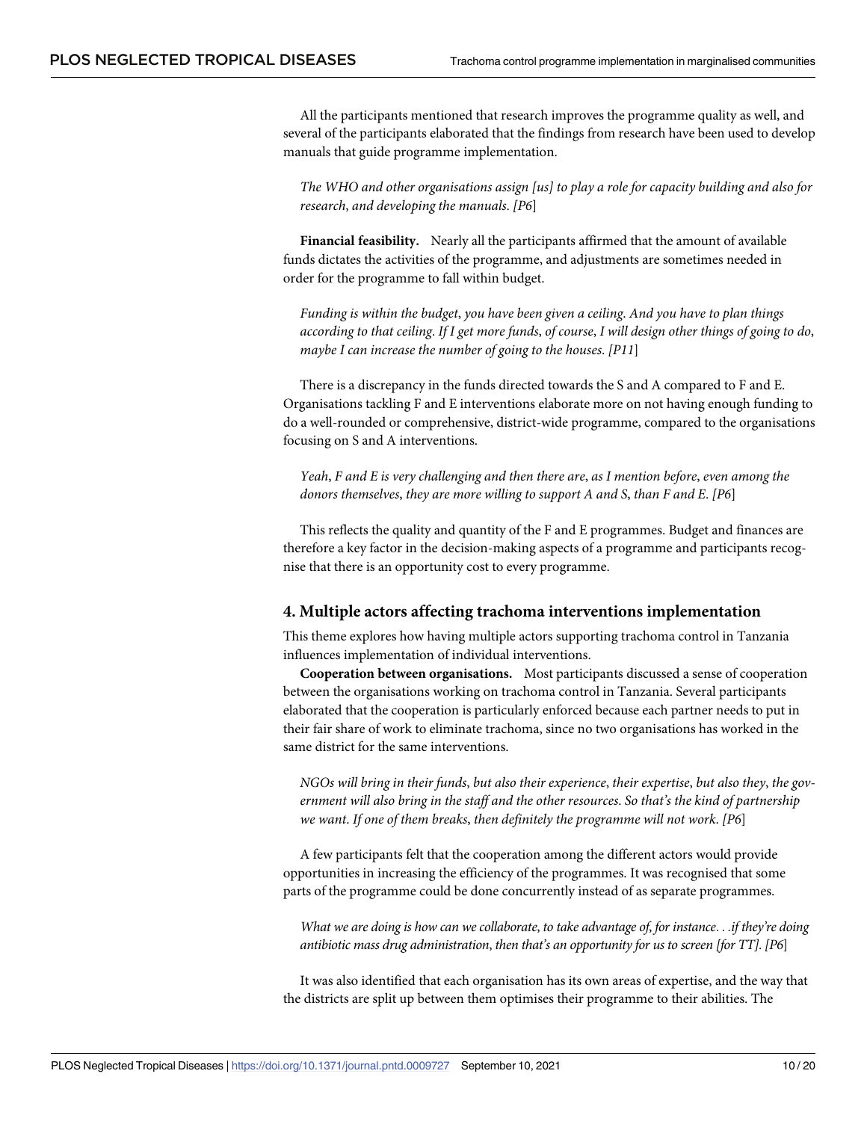All the participants mentioned that research improves the programme quality as well, and several of the participants elaborated that the findings from research have been used to develop manuals that guide programme implementation.

*The WHO and other organisations assign [us] to play a role for capacity building and also for research*, *and developing the manuals*. *[P6*]

**Financial feasibility.** Nearly all the participants affirmed that the amount of available funds dictates the activities of the programme, and adjustments are sometimes needed in order for the programme to fall within budget.

*Funding is within the budget*, *you have been given a ceiling*. *And you have to plan things* according to that ceiling. If I get more funds, of course, I will design other things of going to do, *maybe I can increase the number of going to the houses*. *[P11*]

There is a discrepancy in the funds directed towards the S and A compared to F and E. Organisations tackling F and E interventions elaborate more on not having enough funding to do a well-rounded or comprehensive, district-wide programme, compared to the organisations focusing on S and A interventions.

*Yeah*, *F and E is very challenging and then there are*, *as I mention before*, *even among the donors themselves*, *they are more willing to support A and S*, *than F and E*. *[P6*]

This reflects the quality and quantity of the F and E programmes. Budget and finances are therefore a key factor in the decision-making aspects of a programme and participants recognise that there is an opportunity cost to every programme.

#### **4. Multiple actors affecting trachoma interventions implementation**

This theme explores how having multiple actors supporting trachoma control in Tanzania influences implementation of individual interventions.

**Cooperation between organisations.** Most participants discussed a sense of cooperation between the organisations working on trachoma control in Tanzania. Several participants elaborated that the cooperation is particularly enforced because each partner needs to put in their fair share of work to eliminate trachoma, since no two organisations has worked in the same district for the same interventions.

*NGOs will bring in their funds*, *but also their experience*, *their expertise*, *but also they*, *the government will also bring in the staff and the other resources*. *So that's the kind of partnership we want*. *If one of them breaks*, *then definitely the programme will not work*. *[P6*]

A few participants felt that the cooperation among the different actors would provide opportunities in increasing the efficiency of the programmes. It was recognised that some parts of the programme could be done concurrently instead of as separate programmes.

What we are doing is how can we collaborate, to take advantage of, for instance...if they're doing *antibiotic mass drug administration*, *then that's an opportunity for us to screen [for TT]*. *[P6*]

It was also identified that each organisation has its own areas of expertise, and the way that the districts are split up between them optimises their programme to their abilities. The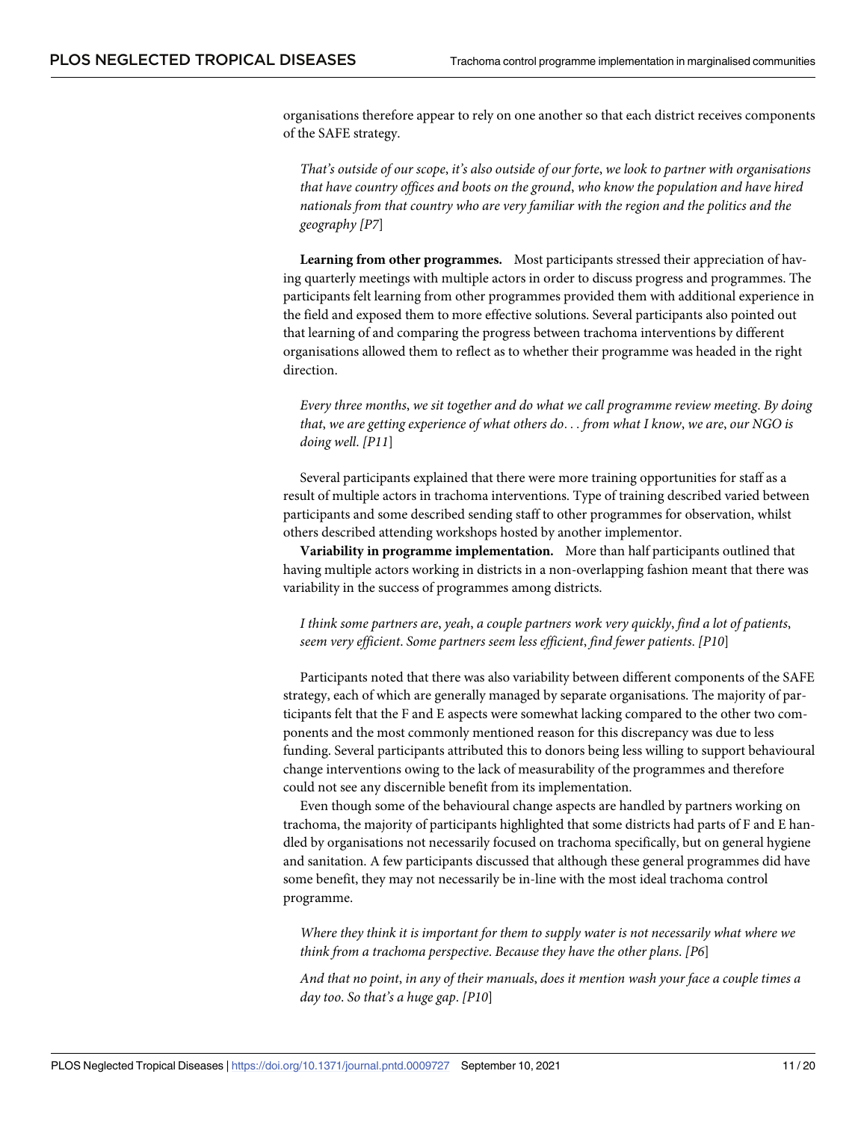organisations therefore appear to rely on one another so that each district receives components of the SAFE strategy.

*That's outside of our scope*, *it's also outside of our forte*, *we look to partner with organisations that have country offices and boots on the ground*, *who know the population and have hired nationals from that country who are very familiar with the region and the politics and the geography [P7*]

**Learning from other programmes.** Most participants stressed their appreciation of having quarterly meetings with multiple actors in order to discuss progress and programmes. The participants felt learning from other programmes provided them with additional experience in the field and exposed them to more effective solutions. Several participants also pointed out that learning of and comparing the progress between trachoma interventions by different organisations allowed them to reflect as to whether their programme was headed in the right direction.

*Every three months*, *we sit together and do what we call programme review meeting*. *By doing that*, *we are getting experience of what others do*. . . *from what I know*, *we are*, *our NGO is doing well*. *[P11*]

Several participants explained that there were more training opportunities for staff as a result of multiple actors in trachoma interventions. Type of training described varied between participants and some described sending staff to other programmes for observation, whilst others described attending workshops hosted by another implementor.

**Variability in programme implementation.** More than half participants outlined that having multiple actors working in districts in a non-overlapping fashion meant that there was variability in the success of programmes among districts.

*I think some partners are*, *yeah*, *a couple partners work very quickly*, *find a lot of patients*, *seem very efficient*. *Some partners seem less efficient*, *find fewer patients*. *[P10*]

Participants noted that there was also variability between different components of the SAFE strategy, each of which are generally managed by separate organisations. The majority of participants felt that the F and E aspects were somewhat lacking compared to the other two components and the most commonly mentioned reason for this discrepancy was due to less funding. Several participants attributed this to donors being less willing to support behavioural change interventions owing to the lack of measurability of the programmes and therefore could not see any discernible benefit from its implementation.

Even though some of the behavioural change aspects are handled by partners working on trachoma, the majority of participants highlighted that some districts had parts of F and E handled by organisations not necessarily focused on trachoma specifically, but on general hygiene and sanitation. A few participants discussed that although these general programmes did have some benefit, they may not necessarily be in-line with the most ideal trachoma control programme.

*Where they think it is important for them to supply water is not necessarily what where we think from a trachoma perspective*. *Because they have the other plans*. *[P6*]

*And that no point*, *in any of their manuals*, *does it mention wash your face a couple times a day too*. *So that's a huge gap*. *[P10*]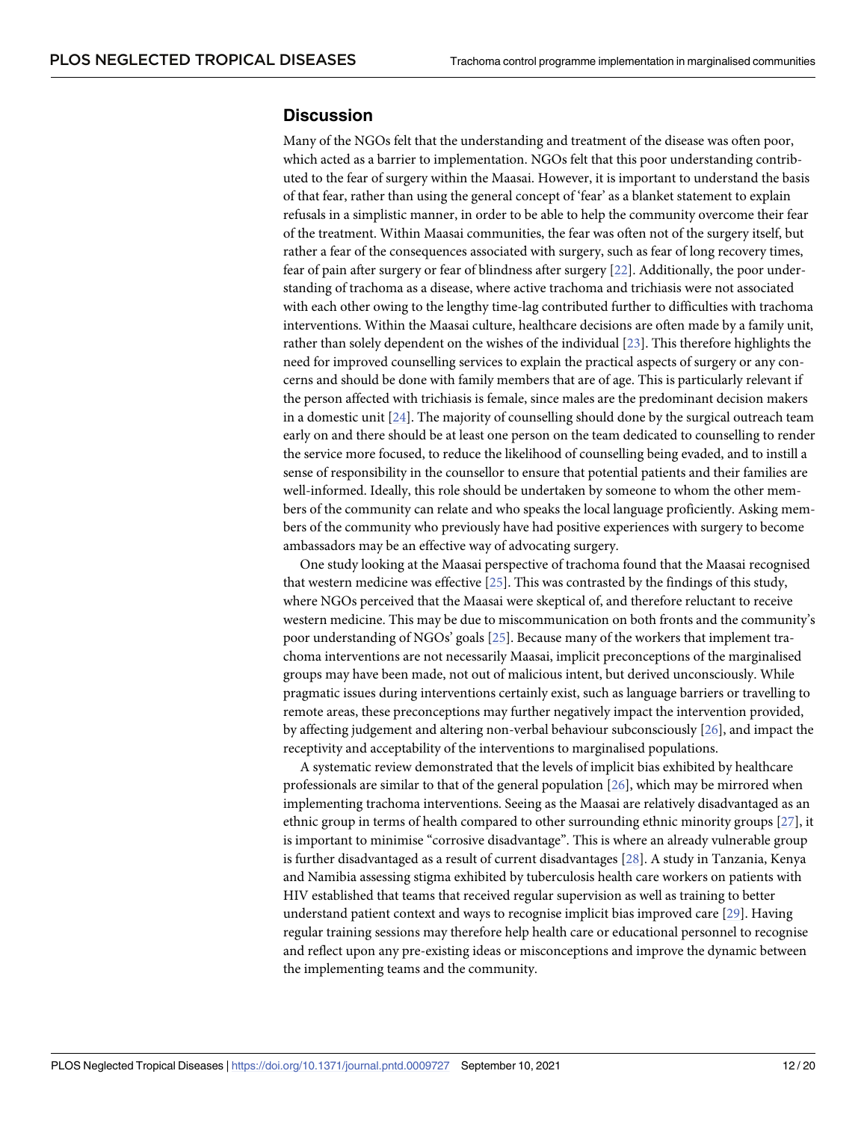## <span id="page-11-0"></span>**Discussion**

Many of the NGOs felt that the understanding and treatment of the disease was often poor, which acted as a barrier to implementation. NGOs felt that this poor understanding contributed to the fear of surgery within the Maasai. However, it is important to understand the basis of that fear, rather than using the general concept of 'fear' as a blanket statement to explain refusals in a simplistic manner, in order to be able to help the community overcome their fear of the treatment. Within Maasai communities, the fear was often not of the surgery itself, but rather a fear of the consequences associated with surgery, such as fear of long recovery times, fear of pain after surgery or fear of blindness after surgery [\[22\]](#page-17-0). Additionally, the poor understanding of trachoma as a disease, where active trachoma and trichiasis were not associated with each other owing to the lengthy time-lag contributed further to difficulties with trachoma interventions. Within the Maasai culture, healthcare decisions are often made by a family unit, rather than solely dependent on the wishes of the individual [[23](#page-17-0)]. This therefore highlights the need for improved counselling services to explain the practical aspects of surgery or any concerns and should be done with family members that are of age. This is particularly relevant if the person affected with trichiasis is female, since males are the predominant decision makers in a domestic unit  $[24]$ . The majority of counselling should done by the surgical outreach team early on and there should be at least one person on the team dedicated to counselling to render the service more focused, to reduce the likelihood of counselling being evaded, and to instill a sense of responsibility in the counsellor to ensure that potential patients and their families are well-informed. Ideally, this role should be undertaken by someone to whom the other members of the community can relate and who speaks the local language proficiently. Asking members of the community who previously have had positive experiences with surgery to become ambassadors may be an effective way of advocating surgery.

One study looking at the Maasai perspective of trachoma found that the Maasai recognised that western medicine was effective [[25](#page-17-0)]. This was contrasted by the findings of this study, where NGOs perceived that the Maasai were skeptical of, and therefore reluctant to receive western medicine. This may be due to miscommunication on both fronts and the community's poor understanding of NGOs' goals [[25](#page-17-0)]. Because many of the workers that implement trachoma interventions are not necessarily Maasai, implicit preconceptions of the marginalised groups may have been made, not out of malicious intent, but derived unconsciously. While pragmatic issues during interventions certainly exist, such as language barriers or travelling to remote areas, these preconceptions may further negatively impact the intervention provided, by affecting judgement and altering non-verbal behaviour subconsciously [[26](#page-17-0)], and impact the receptivity and acceptability of the interventions to marginalised populations.

A systematic review demonstrated that the levels of implicit bias exhibited by healthcare professionals are similar to that of the general population [\[26\]](#page-17-0), which may be mirrored when implementing trachoma interventions. Seeing as the Maasai are relatively disadvantaged as an ethnic group in terms of health compared to other surrounding ethnic minority groups [[27](#page-17-0)], it is important to minimise "corrosive disadvantage". This is where an already vulnerable group is further disadvantaged as a result of current disadvantages [\[28\]](#page-17-0). A study in Tanzania, Kenya and Namibia assessing stigma exhibited by tuberculosis health care workers on patients with HIV established that teams that received regular supervision as well as training to better understand patient context and ways to recognise implicit bias improved care [\[29\]](#page-17-0). Having regular training sessions may therefore help health care or educational personnel to recognise and reflect upon any pre-existing ideas or misconceptions and improve the dynamic between the implementing teams and the community.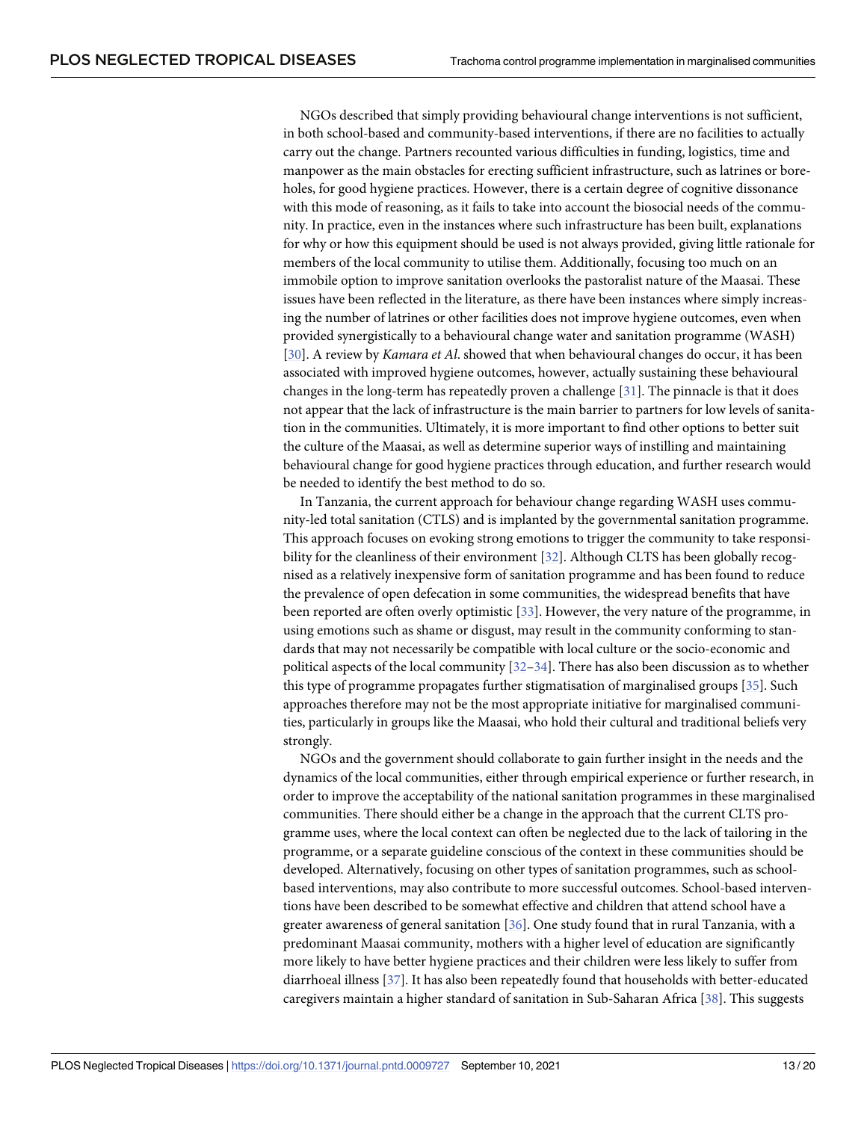<span id="page-12-0"></span>NGOs described that simply providing behavioural change interventions is not sufficient, in both school-based and community-based interventions, if there are no facilities to actually carry out the change. Partners recounted various difficulties in funding, logistics, time and manpower as the main obstacles for erecting sufficient infrastructure, such as latrines or boreholes, for good hygiene practices. However, there is a certain degree of cognitive dissonance with this mode of reasoning, as it fails to take into account the biosocial needs of the community. In practice, even in the instances where such infrastructure has been built, explanations for why or how this equipment should be used is not always provided, giving little rationale for members of the local community to utilise them. Additionally, focusing too much on an immobile option to improve sanitation overlooks the pastoralist nature of the Maasai. These issues have been reflected in the literature, as there have been instances where simply increasing the number of latrines or other facilities does not improve hygiene outcomes, even when provided synergistically to a behavioural change water and sanitation programme (WASH) [\[30\]](#page-17-0). A review by *Kamara et Al*. showed that when behavioural changes do occur, it has been associated with improved hygiene outcomes, however, actually sustaining these behavioural changes in the long-term has repeatedly proven a challenge [\[31\]](#page-18-0). The pinnacle is that it does not appear that the lack of infrastructure is the main barrier to partners for low levels of sanitation in the communities. Ultimately, it is more important to find other options to better suit the culture of the Maasai, as well as determine superior ways of instilling and maintaining behavioural change for good hygiene practices through education, and further research would be needed to identify the best method to do so.

In Tanzania, the current approach for behaviour change regarding WASH uses community-led total sanitation (CTLS) and is implanted by the governmental sanitation programme. This approach focuses on evoking strong emotions to trigger the community to take responsibility for the cleanliness of their environment [\[32\]](#page-18-0). Although CLTS has been globally recognised as a relatively inexpensive form of sanitation programme and has been found to reduce the prevalence of open defecation in some communities, the widespread benefits that have been reported are often overly optimistic [[33](#page-18-0)]. However, the very nature of the programme, in using emotions such as shame or disgust, may result in the community conforming to standards that may not necessarily be compatible with local culture or the socio-economic and political aspects of the local community [[32–34\]](#page-18-0). There has also been discussion as to whether this type of programme propagates further stigmatisation of marginalised groups [[35](#page-18-0)]. Such approaches therefore may not be the most appropriate initiative for marginalised communities, particularly in groups like the Maasai, who hold their cultural and traditional beliefs very strongly.

NGOs and the government should collaborate to gain further insight in the needs and the dynamics of the local communities, either through empirical experience or further research, in order to improve the acceptability of the national sanitation programmes in these marginalised communities. There should either be a change in the approach that the current CLTS programme uses, where the local context can often be neglected due to the lack of tailoring in the programme, or a separate guideline conscious of the context in these communities should be developed. Alternatively, focusing on other types of sanitation programmes, such as schoolbased interventions, may also contribute to more successful outcomes. School-based interventions have been described to be somewhat effective and children that attend school have a greater awareness of general sanitation [\[36\]](#page-18-0). One study found that in rural Tanzania, with a predominant Maasai community, mothers with a higher level of education are significantly more likely to have better hygiene practices and their children were less likely to suffer from diarrhoeal illness [\[37\]](#page-18-0). It has also been repeatedly found that households with better-educated caregivers maintain a higher standard of sanitation in Sub-Saharan Africa [\[38\]](#page-18-0). This suggests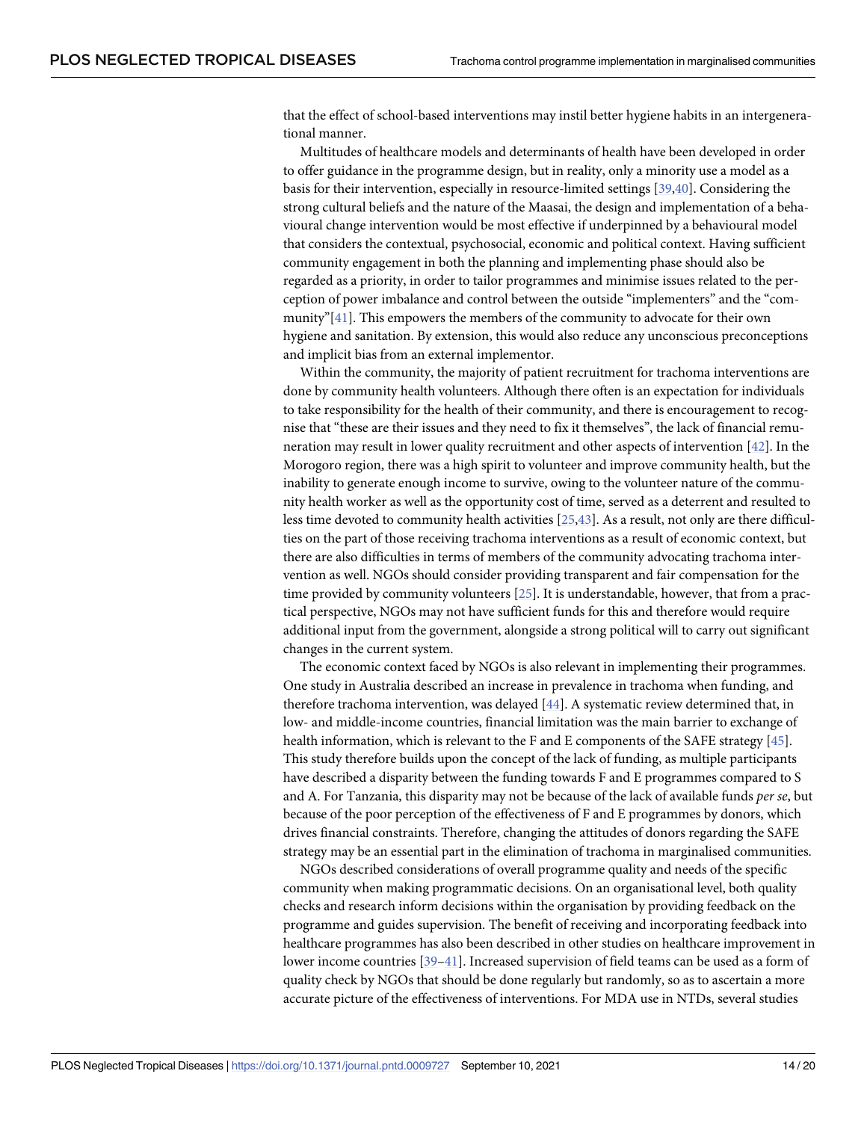<span id="page-13-0"></span>that the effect of school-based interventions may instil better hygiene habits in an intergenerational manner.

Multitudes of healthcare models and determinants of health have been developed in order to offer guidance in the programme design, but in reality, only a minority use a model as a basis for their intervention, especially in resource-limited settings [\[39,40](#page-18-0)]. Considering the strong cultural beliefs and the nature of the Maasai, the design and implementation of a behavioural change intervention would be most effective if underpinned by a behavioural model that considers the contextual, psychosocial, economic and political context. Having sufficient community engagement in both the planning and implementing phase should also be regarded as a priority, in order to tailor programmes and minimise issues related to the perception of power imbalance and control between the outside "implementers" and the "community"[\[41\]](#page-18-0). This empowers the members of the community to advocate for their own hygiene and sanitation. By extension, this would also reduce any unconscious preconceptions and implicit bias from an external implementor.

Within the community, the majority of patient recruitment for trachoma interventions are done by community health volunteers. Although there often is an expectation for individuals to take responsibility for the health of their community, and there is encouragement to recognise that "these are their issues and they need to fix it themselves", the lack of financial remuneration may result in lower quality recruitment and other aspects of intervention [[42](#page-18-0)]. In the Morogoro region, there was a high spirit to volunteer and improve community health, but the inability to generate enough income to survive, owing to the volunteer nature of the community health worker as well as the opportunity cost of time, served as a deterrent and resulted to less time devoted to community health activities [[25](#page-17-0)[,43\]](#page-18-0). As a result, not only are there difficulties on the part of those receiving trachoma interventions as a result of economic context, but there are also difficulties in terms of members of the community advocating trachoma intervention as well. NGOs should consider providing transparent and fair compensation for the time provided by community volunteers [\[25\]](#page-17-0). It is understandable, however, that from a practical perspective, NGOs may not have sufficient funds for this and therefore would require additional input from the government, alongside a strong political will to carry out significant changes in the current system.

The economic context faced by NGOs is also relevant in implementing their programmes. One study in Australia described an increase in prevalence in trachoma when funding, and therefore trachoma intervention, was delayed [[44](#page-18-0)]. A systematic review determined that, in low- and middle-income countries, financial limitation was the main barrier to exchange of health information, which is relevant to the F and E components of the SAFE strategy [[45](#page-18-0)]. This study therefore builds upon the concept of the lack of funding, as multiple participants have described a disparity between the funding towards F and E programmes compared to S and A. For Tanzania, this disparity may not be because of the lack of available funds *per se*, but because of the poor perception of the effectiveness of F and E programmes by donors, which drives financial constraints. Therefore, changing the attitudes of donors regarding the SAFE strategy may be an essential part in the elimination of trachoma in marginalised communities.

NGOs described considerations of overall programme quality and needs of the specific community when making programmatic decisions. On an organisational level, both quality checks and research inform decisions within the organisation by providing feedback on the programme and guides supervision. The benefit of receiving and incorporating feedback into healthcare programmes has also been described in other studies on healthcare improvement in lower income countries [[39–41\]](#page-18-0). Increased supervision of field teams can be used as a form of quality check by NGOs that should be done regularly but randomly, so as to ascertain a more accurate picture of the effectiveness of interventions. For MDA use in NTDs, several studies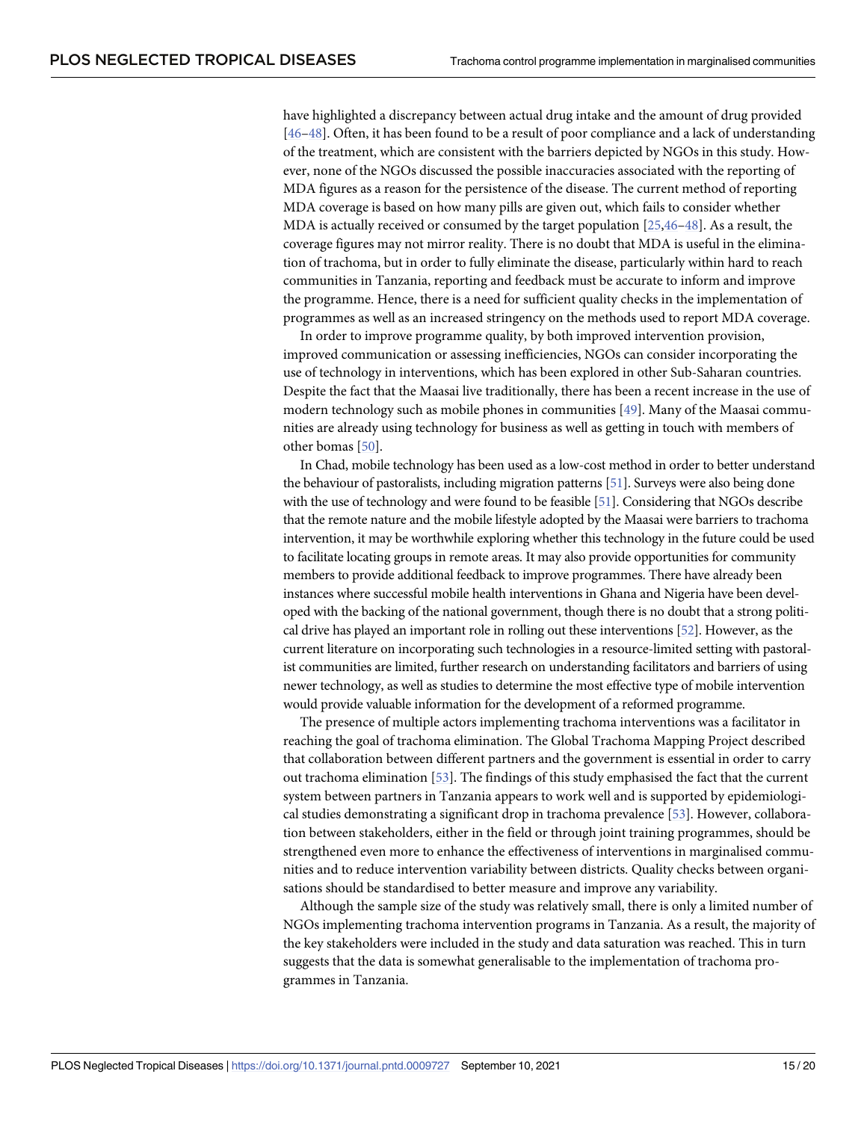<span id="page-14-0"></span>have highlighted a discrepancy between actual drug intake and the amount of drug provided [\[46–48\]](#page-18-0). Often, it has been found to be a result of poor compliance and a lack of understanding of the treatment, which are consistent with the barriers depicted by NGOs in this study. However, none of the NGOs discussed the possible inaccuracies associated with the reporting of MDA figures as a reason for the persistence of the disease. The current method of reporting MDA coverage is based on how many pills are given out, which fails to consider whether MDA is actually received or consumed by the target population [[25](#page-17-0)[,46–48](#page-18-0)]. As a result, the coverage figures may not mirror reality. There is no doubt that MDA is useful in the elimination of trachoma, but in order to fully eliminate the disease, particularly within hard to reach communities in Tanzania, reporting and feedback must be accurate to inform and improve the programme. Hence, there is a need for sufficient quality checks in the implementation of programmes as well as an increased stringency on the methods used to report MDA coverage.

In order to improve programme quality, by both improved intervention provision, improved communication or assessing inefficiencies, NGOs can consider incorporating the use of technology in interventions, which has been explored in other Sub-Saharan countries. Despite the fact that the Maasai live traditionally, there has been a recent increase in the use of modern technology such as mobile phones in communities [[49](#page-19-0)]. Many of the Maasai communities are already using technology for business as well as getting in touch with members of other bomas [\[50\]](#page-19-0).

In Chad, mobile technology has been used as a low-cost method in order to better understand the behaviour of pastoralists, including migration patterns [\[51](#page-19-0)]. Surveys were also being done with the use of technology and were found to be feasible [[51](#page-19-0)]. Considering that NGOs describe that the remote nature and the mobile lifestyle adopted by the Maasai were barriers to trachoma intervention, it may be worthwhile exploring whether this technology in the future could be used to facilitate locating groups in remote areas. It may also provide opportunities for community members to provide additional feedback to improve programmes. There have already been instances where successful mobile health interventions in Ghana and Nigeria have been developed with the backing of the national government, though there is no doubt that a strong political drive has played an important role in rolling out these interventions [\[52](#page-19-0)]. However, as the current literature on incorporating such technologies in a resource-limited setting with pastoralist communities are limited, further research on understanding facilitators and barriers of using newer technology, as well as studies to determine the most effective type of mobile intervention would provide valuable information for the development of a reformed programme.

The presence of multiple actors implementing trachoma interventions was a facilitator in reaching the goal of trachoma elimination. The Global Trachoma Mapping Project described that collaboration between different partners and the government is essential in order to carry out trachoma elimination [[53](#page-19-0)]. The findings of this study emphasised the fact that the current system between partners in Tanzania appears to work well and is supported by epidemiological studies demonstrating a significant drop in trachoma prevalence [[53](#page-19-0)]. However, collaboration between stakeholders, either in the field or through joint training programmes, should be strengthened even more to enhance the effectiveness of interventions in marginalised communities and to reduce intervention variability between districts. Quality checks between organisations should be standardised to better measure and improve any variability.

Although the sample size of the study was relatively small, there is only a limited number of NGOs implementing trachoma intervention programs in Tanzania. As a result, the majority of the key stakeholders were included in the study and data saturation was reached. This in turn suggests that the data is somewhat generalisable to the implementation of trachoma programmes in Tanzania.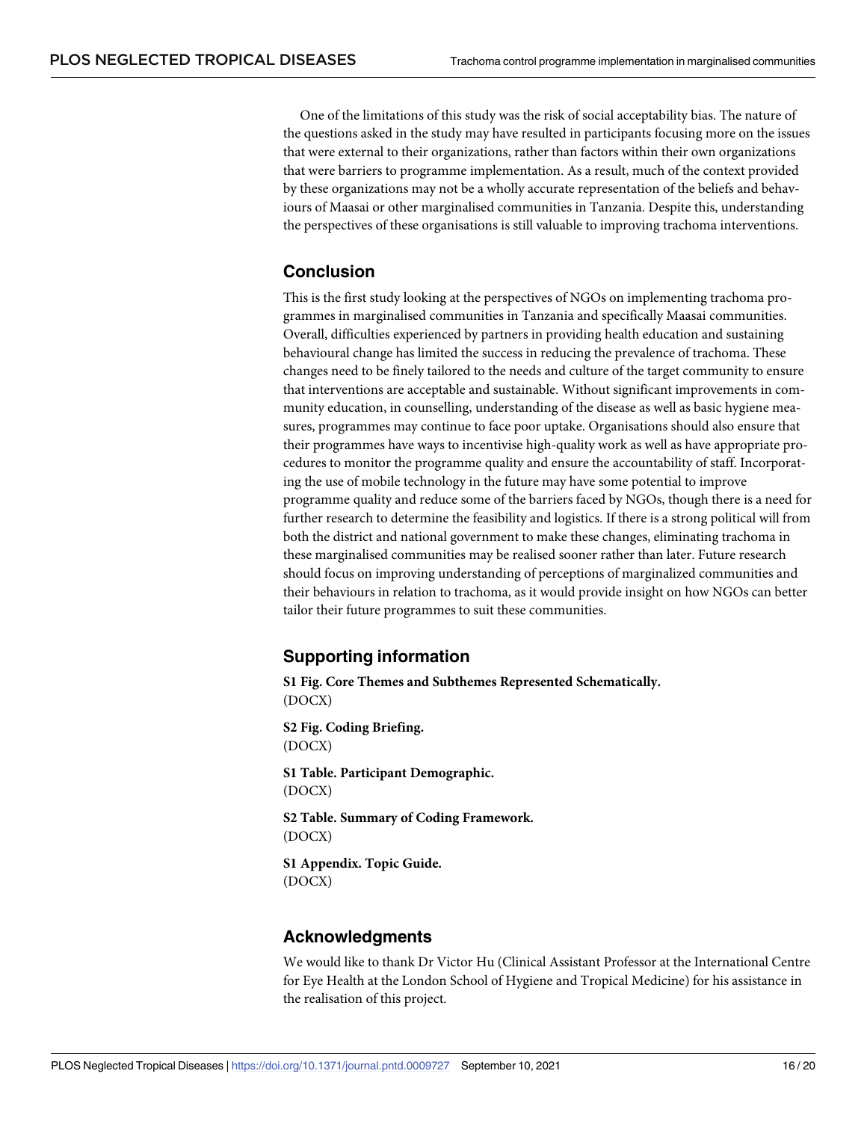<span id="page-15-0"></span>One of the limitations of this study was the risk of social acceptability bias. The nature of the questions asked in the study may have resulted in participants focusing more on the issues that were external to their organizations, rather than factors within their own organizations that were barriers to programme implementation. As a result, much of the context provided by these organizations may not be a wholly accurate representation of the beliefs and behaviours of Maasai or other marginalised communities in Tanzania. Despite this, understanding the perspectives of these organisations is still valuable to improving trachoma interventions.

## **Conclusion**

This is the first study looking at the perspectives of NGOs on implementing trachoma programmes in marginalised communities in Tanzania and specifically Maasai communities. Overall, difficulties experienced by partners in providing health education and sustaining behavioural change has limited the success in reducing the prevalence of trachoma. These changes need to be finely tailored to the needs and culture of the target community to ensure that interventions are acceptable and sustainable. Without significant improvements in community education, in counselling, understanding of the disease as well as basic hygiene measures, programmes may continue to face poor uptake. Organisations should also ensure that their programmes have ways to incentivise high-quality work as well as have appropriate procedures to monitor the programme quality and ensure the accountability of staff. Incorporating the use of mobile technology in the future may have some potential to improve programme quality and reduce some of the barriers faced by NGOs, though there is a need for further research to determine the feasibility and logistics. If there is a strong political will from both the district and national government to make these changes, eliminating trachoma in these marginalised communities may be realised sooner rather than later. Future research should focus on improving understanding of perceptions of marginalized communities and their behaviours in relation to trachoma, as it would provide insight on how NGOs can better tailor their future programmes to suit these communities.

## **Supporting information**

**S1 [Fig](http://journals.plos.org/plosntds/article/asset?unique&id=info:doi/10.1371/journal.pntd.0009727.s001). Core Themes and Subthemes Represented Schematically.** (DOCX)

**S2 [Fig](http://journals.plos.org/plosntds/article/asset?unique&id=info:doi/10.1371/journal.pntd.0009727.s002). Coding Briefing.** (DOCX)

**S1 [Table.](http://journals.plos.org/plosntds/article/asset?unique&id=info:doi/10.1371/journal.pntd.0009727.s003) Participant Demographic.** (DOCX)

**S2 [Table.](http://journals.plos.org/plosntds/article/asset?unique&id=info:doi/10.1371/journal.pntd.0009727.s004) Summary of Coding Framework.** (DOCX)

**S1 [Appendix](http://journals.plos.org/plosntds/article/asset?unique&id=info:doi/10.1371/journal.pntd.0009727.s005). Topic Guide.** (DOCX)

## **Acknowledgments**

We would like to thank Dr Victor Hu (Clinical Assistant Professor at the International Centre for Eye Health at the London School of Hygiene and Tropical Medicine) for his assistance in the realisation of this project.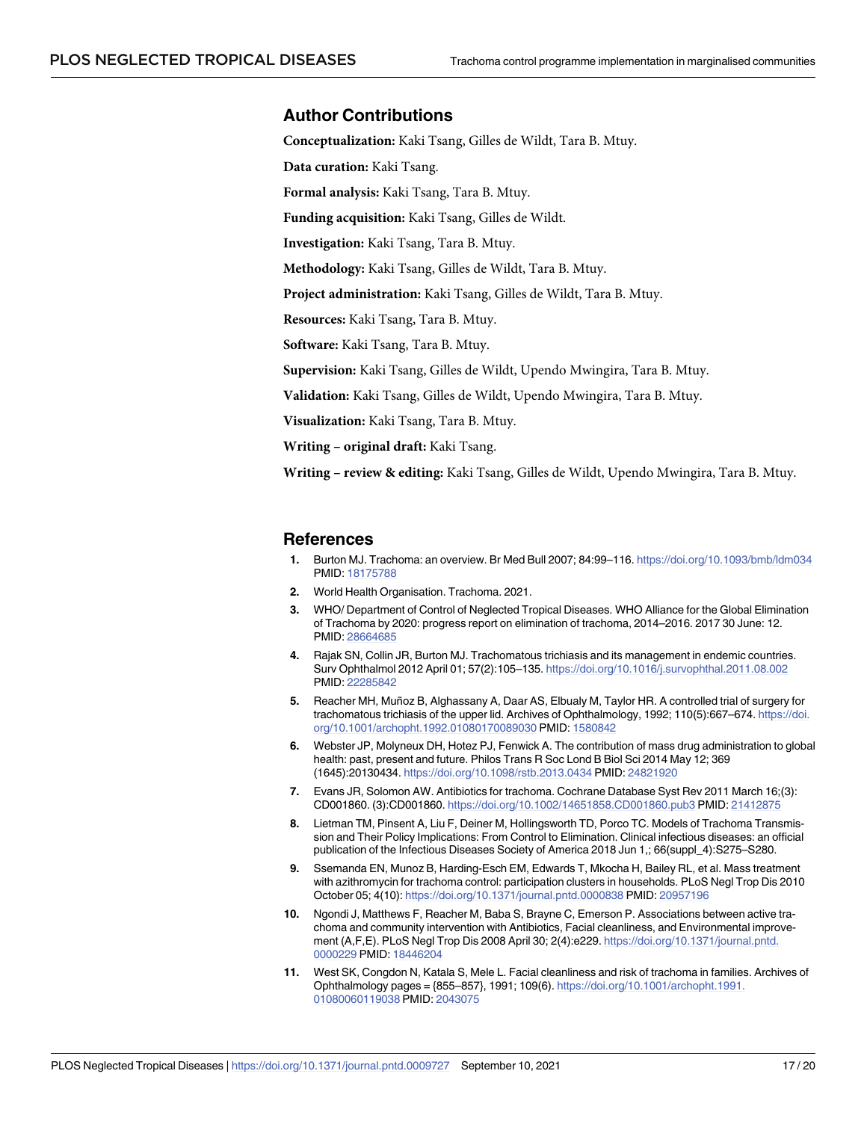#### <span id="page-16-0"></span>**Author Contributions**

**Conceptualization:** Kaki Tsang, Gilles de Wildt, Tara B. Mtuy.

**Data curation:** Kaki Tsang.

**Formal analysis:** Kaki Tsang, Tara B. Mtuy.

**Funding acquisition:** Kaki Tsang, Gilles de Wildt.

**Investigation:** Kaki Tsang, Tara B. Mtuy.

**Methodology:** Kaki Tsang, Gilles de Wildt, Tara B. Mtuy.

**Project administration:** Kaki Tsang, Gilles de Wildt, Tara B. Mtuy.

**Resources:** Kaki Tsang, Tara B. Mtuy.

**Software:** Kaki Tsang, Tara B. Mtuy.

**Supervision:** Kaki Tsang, Gilles de Wildt, Upendo Mwingira, Tara B. Mtuy.

**Validation:** Kaki Tsang, Gilles de Wildt, Upendo Mwingira, Tara B. Mtuy.

**Visualization:** Kaki Tsang, Tara B. Mtuy.

**Writing – original draft:** Kaki Tsang.

**Writing – review & editing:** Kaki Tsang, Gilles de Wildt, Upendo Mwingira, Tara B. Mtuy.

#### **References**

- **[1](#page-1-0).** Burton MJ. Trachoma: an overview. Br Med Bull 2007; 84:99–116. <https://doi.org/10.1093/bmb/ldm034> PMID: [18175788](http://www.ncbi.nlm.nih.gov/pubmed/18175788)
- **[2](#page-1-0).** World Health Organisation. Trachoma. 2021.
- **[3](#page-1-0).** WHO/ Department of Control of Neglected Tropical Diseases. WHO Alliance for the Global Elimination of Trachoma by 2020: progress report on elimination of trachoma, 2014–2016. 2017 30 June: 12. PMID: [28664685](http://www.ncbi.nlm.nih.gov/pubmed/28664685)
- **[4](#page-1-0).** Rajak SN, Collin JR, Burton MJ. Trachomatous trichiasis and its management in endemic countries. Surv Ophthalmol 2012 April 01; 57(2):105–135. <https://doi.org/10.1016/j.survophthal.2011.08.002> PMID: [22285842](http://www.ncbi.nlm.nih.gov/pubmed/22285842)
- **[5](#page-1-0).** Reacher MH, Muñoz B, Alghassany A, Daar AS, Elbualy M, Taylor HR. A controlled trial of surgery for trachomatous trichiasis of the upper lid. Archives of Ophthalmology, 1992; 110(5):667–674. [https://doi.](https://doi.org/10.1001/archopht.1992.01080170089030) [org/10.1001/archopht.1992.01080170089030](https://doi.org/10.1001/archopht.1992.01080170089030) PMID: [1580842](http://www.ncbi.nlm.nih.gov/pubmed/1580842)
- **[6](#page-1-0).** Webster JP, Molyneux DH, Hotez PJ, Fenwick A. The contribution of mass drug administration to global health: past, present and future. Philos Trans R Soc Lond B Biol Sci 2014 May 12; 369 (1645):20130434. <https://doi.org/10.1098/rstb.2013.0434> PMID: [24821920](http://www.ncbi.nlm.nih.gov/pubmed/24821920)
- **7.** Evans JR, Solomon AW. Antibiotics for trachoma. Cochrane Database Syst Rev 2011 March 16;(3): CD001860. (3):CD001860. <https://doi.org/10.1002/14651858.CD001860.pub3> PMID: [21412875](http://www.ncbi.nlm.nih.gov/pubmed/21412875)
- **8.** Lietman TM, Pinsent A, Liu F, Deiner M, Hollingsworth TD, Porco TC. Models of Trachoma Transmission and Their Policy Implications: From Control to Elimination. Clinical infectious diseases: an official publication of the Infectious Diseases Society of America 2018 Jun 1,; 66(suppl\_4):S275–S280.
- **[9](#page-1-0).** Ssemanda EN, Munoz B, Harding-Esch EM, Edwards T, Mkocha H, Bailey RL, et al. Mass treatment with azithromycin for trachoma control: participation clusters in households. PLoS Negl Trop Dis 2010 October 05; 4(10): <https://doi.org/10.1371/journal.pntd.0000838> PMID: [20957196](http://www.ncbi.nlm.nih.gov/pubmed/20957196)
- **[10](#page-1-0).** Ngondi J, Matthews F, Reacher M, Baba S, Brayne C, Emerson P. Associations between active trachoma and community intervention with Antibiotics, Facial cleanliness, and Environmental improvement (A,F,E). PLoS Negl Trop Dis 2008 April 30; 2(4):e229. [https://doi.org/10.1371/journal.pntd.](https://doi.org/10.1371/journal.pntd.0000229) [0000229](https://doi.org/10.1371/journal.pntd.0000229) PMID: [18446204](http://www.ncbi.nlm.nih.gov/pubmed/18446204)
- **[11](#page-1-0).** West SK, Congdon N, Katala S, Mele L. Facial cleanliness and risk of trachoma in families. Archives of Ophthalmology pages = {855–857}, 1991; 109(6). [https://doi.org/10.1001/archopht.1991.](https://doi.org/10.1001/archopht.1991.01080060119038) [01080060119038](https://doi.org/10.1001/archopht.1991.01080060119038) PMID: [2043075](http://www.ncbi.nlm.nih.gov/pubmed/2043075)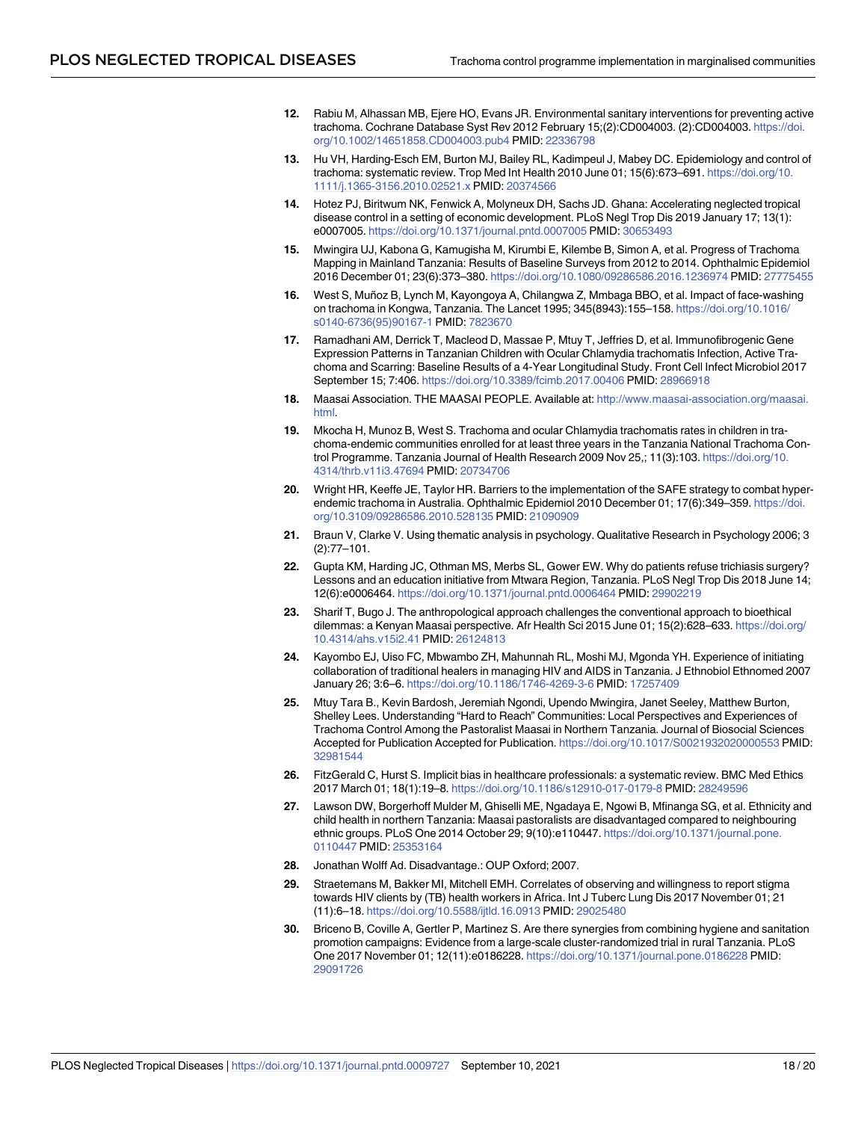- <span id="page-17-0"></span>**[12](#page-1-0).** Rabiu M, Alhassan MB, Ejere HO, Evans JR. Environmental sanitary interventions for preventing active trachoma. Cochrane Database Syst Rev 2012 February 15;(2):CD004003. (2):CD004003. [https://doi.](https://doi.org/10.1002/14651858.CD004003.pub4) [org/10.1002/14651858.CD004003.pub4](https://doi.org/10.1002/14651858.CD004003.pub4) PMID: [22336798](http://www.ncbi.nlm.nih.gov/pubmed/22336798)
- **[13](#page-1-0).** Hu VH, Harding-Esch EM, Burton MJ, Bailey RL, Kadimpeul J, Mabey DC. Epidemiology and control of trachoma: systematic review. Trop Med Int Health 2010 June 01; 15(6):673–691. [https://doi.org/10.](https://doi.org/10.1111/j.1365-3156.2010.02521.x) [1111/j.1365-3156.2010.02521.x](https://doi.org/10.1111/j.1365-3156.2010.02521.x) PMID: [20374566](http://www.ncbi.nlm.nih.gov/pubmed/20374566)
- **[14](#page-2-0).** Hotez PJ, Biritwum NK, Fenwick A, Molyneux DH, Sachs JD. Ghana: Accelerating neglected tropical disease control in a setting of economic development. PLoS Negl Trop Dis 2019 January 17; 13(1): e0007005. <https://doi.org/10.1371/journal.pntd.0007005> PMID: [30653493](http://www.ncbi.nlm.nih.gov/pubmed/30653493)
- **[15](#page-2-0).** Mwingira UJ, Kabona G, Kamugisha M, Kirumbi E, Kilembe B, Simon A, et al. Progress of Trachoma Mapping in Mainland Tanzania: Results of Baseline Surveys from 2012 to 2014. Ophthalmic Epidemiol 2016 December 01; 23(6):373–380. <https://doi.org/10.1080/09286586.2016.1236974> PMID: [27775455](http://www.ncbi.nlm.nih.gov/pubmed/27775455)
- **[16](#page-2-0).** West S, Muñoz B, Lynch M, Kayongoya A, Chilangwa Z, Mmbaga BBO, et al. Impact of face-washing on trachoma in Kongwa, Tanzania. The Lancet 1995; 345(8943):155–158. [https://doi.org/10.1016/](https://doi.org/10.1016/s0140-6736%2895%2990167-1) [s0140-6736\(95\)90167-1](https://doi.org/10.1016/s0140-6736%2895%2990167-1) PMID: [7823670](http://www.ncbi.nlm.nih.gov/pubmed/7823670)
- **[17](#page-2-0).** Ramadhani AM, Derrick T, Macleod D, Massae P, Mtuy T, Jeffries D, et al. Immunofibrogenic Gene Expression Patterns in Tanzanian Children with Ocular Chlamydia trachomatis Infection, Active Trachoma and Scarring: Baseline Results of a 4-Year Longitudinal Study. Front Cell Infect Microbiol 2017 September 15; 7:406. <https://doi.org/10.3389/fcimb.2017.00406> PMID: [28966918](http://www.ncbi.nlm.nih.gov/pubmed/28966918)
- **[18](#page-2-0).** Maasai Association. THE MAASAI PEOPLE. Available at: [http://www.maasai-association.org/maasai.](http://www.maasai-association.org/maasai.html) [html](http://www.maasai-association.org/maasai.html).
- **[19](#page-2-0).** Mkocha H, Munoz B, West S. Trachoma and ocular Chlamydia trachomatis rates in children in trachoma-endemic communities enrolled for at least three years in the Tanzania National Trachoma Control Programme. Tanzania Journal of Health Research 2009 Nov 25,; 11(3):103. [https://doi.org/10.](https://doi.org/10.4314/thrb.v11i3.47694) [4314/thrb.v11i3.47694](https://doi.org/10.4314/thrb.v11i3.47694) PMID: [20734706](http://www.ncbi.nlm.nih.gov/pubmed/20734706)
- **[20](#page-2-0).** Wright HR, Keeffe JE, Taylor HR. Barriers to the implementation of the SAFE strategy to combat hyperendemic trachoma in Australia. Ophthalmic Epidemiol 2010 December 01; 17(6):349–359. [https://doi.](https://doi.org/10.3109/09286586.2010.528135) [org/10.3109/09286586.2010.528135](https://doi.org/10.3109/09286586.2010.528135) PMID: [21090909](http://www.ncbi.nlm.nih.gov/pubmed/21090909)
- **[21](#page-3-0).** Braun V, Clarke V. Using thematic analysis in psychology. Qualitative Research in Psychology 2006; 3 (2):77–101.
- **[22](#page-11-0).** Gupta KM, Harding JC, Othman MS, Merbs SL, Gower EW. Why do patients refuse trichiasis surgery? Lessons and an education initiative from Mtwara Region, Tanzania. PLoS Negl Trop Dis 2018 June 14; 12(6):e0006464. <https://doi.org/10.1371/journal.pntd.0006464> PMID: [29902219](http://www.ncbi.nlm.nih.gov/pubmed/29902219)
- **[23](#page-11-0).** Sharif T, Bugo J. The anthropological approach challenges the conventional approach to bioethical dilemmas: a Kenyan Maasai perspective. Afr Health Sci 2015 June 01; 15(2):628–633. [https://doi.org/](https://doi.org/10.4314/ahs.v15i2.41) [10.4314/ahs.v15i2.41](https://doi.org/10.4314/ahs.v15i2.41) PMID: [26124813](http://www.ncbi.nlm.nih.gov/pubmed/26124813)
- **[24](#page-11-0).** Kayombo EJ, Uiso FC, Mbwambo ZH, Mahunnah RL, Moshi MJ, Mgonda YH. Experience of initiating collaboration of traditional healers in managing HIV and AIDS in Tanzania. J Ethnobiol Ethnomed 2007 January 26; 3:6–6. <https://doi.org/10.1186/1746-4269-3-6> PMID: [17257409](http://www.ncbi.nlm.nih.gov/pubmed/17257409)
- **[25](#page-11-0).** Mtuy Tara B., Kevin Bardosh, Jeremiah Ngondi, Upendo Mwingira, Janet Seeley, Matthew Burton, Shelley Lees. Understanding "Hard to Reach" Communities: Local Perspectives and Experiences of Trachoma Control Among the Pastoralist Maasai in Northern Tanzania. Journal of Biosocial Sciences Accepted for Publication Accepted for Publication. <https://doi.org/10.1017/S0021932020000553> PMID: [32981544](http://www.ncbi.nlm.nih.gov/pubmed/32981544)
- **[26](#page-11-0).** FitzGerald C, Hurst S. Implicit bias in healthcare professionals: a systematic review. BMC Med Ethics 2017 March 01; 18(1):19–8. <https://doi.org/10.1186/s12910-017-0179-8> PMID: [28249596](http://www.ncbi.nlm.nih.gov/pubmed/28249596)
- **[27](#page-11-0).** Lawson DW, Borgerhoff Mulder M, Ghiselli ME, Ngadaya E, Ngowi B, Mfinanga SG, et al. Ethnicity and child health in northern Tanzania: Maasai pastoralists are disadvantaged compared to neighbouring ethnic groups. PLoS One 2014 October 29; 9(10):e110447. [https://doi.org/10.1371/journal.pone.](https://doi.org/10.1371/journal.pone.0110447) [0110447](https://doi.org/10.1371/journal.pone.0110447) PMID: [25353164](http://www.ncbi.nlm.nih.gov/pubmed/25353164)
- **[28](#page-11-0).** Jonathan Wolff Ad. Disadvantage.: OUP Oxford; 2007.
- **[29](#page-11-0).** Straetemans M, Bakker MI, Mitchell EMH. Correlates of observing and willingness to report stigma towards HIV clients by (TB) health workers in Africa. Int J Tuberc Lung Dis 2017 November 01; 21 (11):6–18. <https://doi.org/10.5588/ijtld.16.0913> PMID: [29025480](http://www.ncbi.nlm.nih.gov/pubmed/29025480)
- **[30](#page-12-0).** Briceno B, Coville A, Gertler P, Martinez S. Are there synergies from combining hygiene and sanitation promotion campaigns: Evidence from a large-scale cluster-randomized trial in rural Tanzania. PLoS One 2017 November 01; 12(11):e0186228. <https://doi.org/10.1371/journal.pone.0186228> PMID: [29091726](http://www.ncbi.nlm.nih.gov/pubmed/29091726)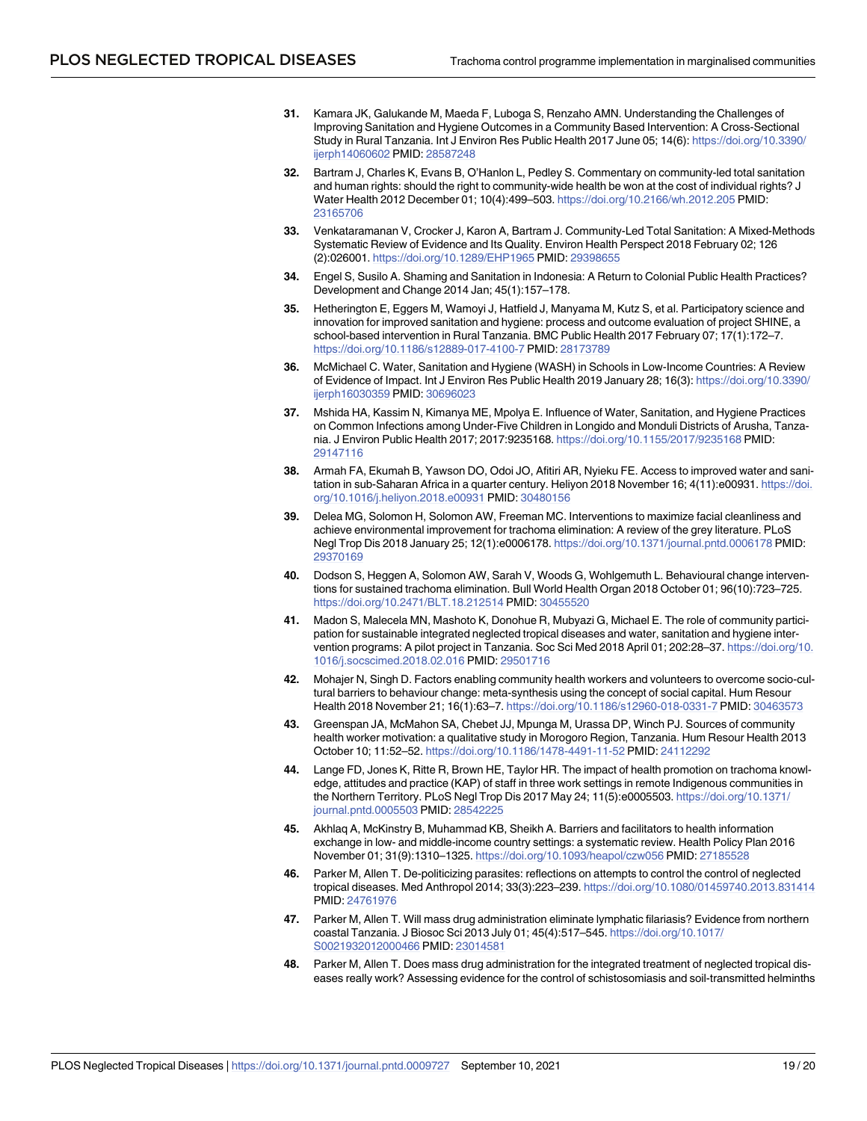- <span id="page-18-0"></span>**[31](#page-12-0).** Kamara JK, Galukande M, Maeda F, Luboga S, Renzaho AMN. Understanding the Challenges of Improving Sanitation and Hygiene Outcomes in a Community Based Intervention: A Cross-Sectional Study in Rural Tanzania. Int J Environ Res Public Health 2017 June 05; 14(6): [https://doi.org/10.3390/](https://doi.org/10.3390/ijerph14060602) [ijerph14060602](https://doi.org/10.3390/ijerph14060602) PMID: [28587248](http://www.ncbi.nlm.nih.gov/pubmed/28587248)
- **[32](#page-12-0).** Bartram J, Charles K, Evans B, O'Hanlon L, Pedley S. Commentary on community-led total sanitation and human rights: should the right to community-wide health be won at the cost of individual rights? J Water Health 2012 December 01; 10(4):499–503. <https://doi.org/10.2166/wh.2012.205> PMID: [23165706](http://www.ncbi.nlm.nih.gov/pubmed/23165706)
- **[33](#page-12-0).** Venkataramanan V, Crocker J, Karon A, Bartram J. Community-Led Total Sanitation: A Mixed-Methods Systematic Review of Evidence and Its Quality. Environ Health Perspect 2018 February 02; 126 (2):026001. <https://doi.org/10.1289/EHP1965> PMID: [29398655](http://www.ncbi.nlm.nih.gov/pubmed/29398655)
- **[34](#page-12-0).** Engel S, Susilo A. Shaming and Sanitation in Indonesia: A Return to Colonial Public Health Practices? Development and Change 2014 Jan; 45(1):157–178.
- **[35](#page-12-0).** Hetherington E, Eggers M, Wamoyi J, Hatfield J, Manyama M, Kutz S, et al. Participatory science and innovation for improved sanitation and hygiene: process and outcome evaluation of project SHINE, a school-based intervention in Rural Tanzania. BMC Public Health 2017 February 07; 17(1):172–7. <https://doi.org/10.1186/s12889-017-4100-7> PMID: [28173789](http://www.ncbi.nlm.nih.gov/pubmed/28173789)
- **[36](#page-12-0).** McMichael C. Water, Sanitation and Hygiene (WASH) in Schools in Low-Income Countries: A Review of Evidence of Impact. Int J Environ Res Public Health 2019 January 28; 16(3): [https://doi.org/10.3390/](https://doi.org/10.3390/ijerph16030359) [ijerph16030359](https://doi.org/10.3390/ijerph16030359) PMID: [30696023](http://www.ncbi.nlm.nih.gov/pubmed/30696023)
- **[37](#page-12-0).** Mshida HA, Kassim N, Kimanya ME, Mpolya E. Influence of Water, Sanitation, and Hygiene Practices on Common Infections among Under-Five Children in Longido and Monduli Districts of Arusha, Tanzania. J Environ Public Health 2017; 2017:9235168. <https://doi.org/10.1155/2017/9235168> PMID: [29147116](http://www.ncbi.nlm.nih.gov/pubmed/29147116)
- **[38](#page-12-0).** Armah FA, Ekumah B, Yawson DO, Odoi JO, Afitiri AR, Nyieku FE. Access to improved water and sanitation in sub-Saharan Africa in a quarter century. Heliyon 2018 November 16; 4(11):e00931. [https://doi.](https://doi.org/10.1016/j.heliyon.2018.e00931) [org/10.1016/j.heliyon.2018.e00931](https://doi.org/10.1016/j.heliyon.2018.e00931) PMID: [30480156](http://www.ncbi.nlm.nih.gov/pubmed/30480156)
- **[39](#page-13-0).** Delea MG, Solomon H, Solomon AW, Freeman MC. Interventions to maximize facial cleanliness and achieve environmental improvement for trachoma elimination: A review of the grey literature. PLoS Negl Trop Dis 2018 January 25; 12(1):e0006178. <https://doi.org/10.1371/journal.pntd.0006178> PMID: [29370169](http://www.ncbi.nlm.nih.gov/pubmed/29370169)
- **[40](#page-13-0).** Dodson S, Heggen A, Solomon AW, Sarah V, Woods G, Wohlgemuth L. Behavioural change interventions for sustained trachoma elimination. Bull World Health Organ 2018 October 01; 96(10):723–725. <https://doi.org/10.2471/BLT.18.212514> PMID: [30455520](http://www.ncbi.nlm.nih.gov/pubmed/30455520)
- **[41](#page-13-0).** Madon S, Malecela MN, Mashoto K, Donohue R, Mubyazi G, Michael E. The role of community participation for sustainable integrated neglected tropical diseases and water, sanitation and hygiene intervention programs: A pilot project in Tanzania. Soc Sci Med 2018 April 01; 202:28–37. [https://doi.org/10.](https://doi.org/10.1016/j.socscimed.2018.02.016) [1016/j.socscimed.2018.02.016](https://doi.org/10.1016/j.socscimed.2018.02.016) PMID: [29501716](http://www.ncbi.nlm.nih.gov/pubmed/29501716)
- **[42](#page-13-0).** Mohajer N, Singh D. Factors enabling community health workers and volunteers to overcome socio-cultural barriers to behaviour change: meta-synthesis using the concept of social capital. Hum Resour Health 2018 November 21; 16(1):63–7. <https://doi.org/10.1186/s12960-018-0331-7> PMID: [30463573](http://www.ncbi.nlm.nih.gov/pubmed/30463573)
- **[43](#page-13-0).** Greenspan JA, McMahon SA, Chebet JJ, Mpunga M, Urassa DP, Winch PJ. Sources of community health worker motivation: a qualitative study in Morogoro Region, Tanzania. Hum Resour Health 2013 October 10; 11:52–52. <https://doi.org/10.1186/1478-4491-11-52> PMID: [24112292](http://www.ncbi.nlm.nih.gov/pubmed/24112292)
- **[44](#page-13-0).** Lange FD, Jones K, Ritte R, Brown HE, Taylor HR. The impact of health promotion on trachoma knowledge, attitudes and practice (KAP) of staff in three work settings in remote Indigenous communities in the Northern Territory. PLoS Negl Trop Dis 2017 May 24; 11(5):e0005503. [https://doi.org/10.1371/](https://doi.org/10.1371/journal.pntd.0005503) [journal.pntd.0005503](https://doi.org/10.1371/journal.pntd.0005503) PMID: [28542225](http://www.ncbi.nlm.nih.gov/pubmed/28542225)
- **[45](#page-13-0).** Akhlaq A, McKinstry B, Muhammad KB, Sheikh A. Barriers and facilitators to health information exchange in low- and middle-income country settings: a systematic review. Health Policy Plan 2016 November 01; 31(9):1310–1325. <https://doi.org/10.1093/heapol/czw056> PMID: [27185528](http://www.ncbi.nlm.nih.gov/pubmed/27185528)
- **[46](#page-14-0).** Parker M, Allen T. De-politicizing parasites: reflections on attempts to control the control of neglected tropical diseases. Med Anthropol 2014; 33(3):223–239. <https://doi.org/10.1080/01459740.2013.831414> PMID: [24761976](http://www.ncbi.nlm.nih.gov/pubmed/24761976)
- **47.** Parker M, Allen T. Will mass drug administration eliminate lymphatic filariasis? Evidence from northern coastal Tanzania. J Biosoc Sci 2013 July 01; 45(4):517–545. [https://doi.org/10.1017/](https://doi.org/10.1017/S0021932012000466) [S0021932012000466](https://doi.org/10.1017/S0021932012000466) PMID: [23014581](http://www.ncbi.nlm.nih.gov/pubmed/23014581)
- **[48](#page-14-0).** Parker M, Allen T. Does mass drug administration for the integrated treatment of neglected tropical diseases really work? Assessing evidence for the control of schistosomiasis and soil-transmitted helminths